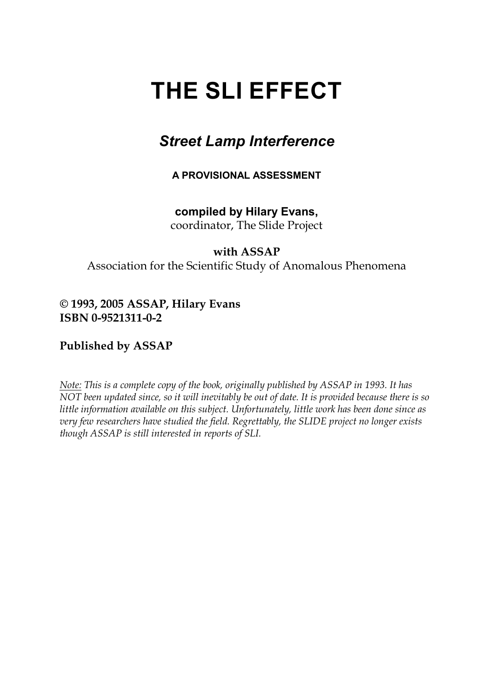# **THE SLI EFFECT**

# *Street Lamp Interference*

**A PROVISIONAL ASSESSMENT**

# **compiled by Hilary Evans,**

coordinator, The Slide Project

## **with ASSAP**

Association for the Scientific Study of Anomalous Phenomena

## **© 1993, 2005 ASSAP, Hilary Evans ISBN 0-9521311-0-2**

# **Published by ASSAP**

*Note: This is a complete copy of the book, originally published by ASSAP in 1993. It has NOT been updated since, so it will inevitably be out of date. It is provided because there is so little information available on this subject. Unfortunately, little work has been done since as very few researchers have studied the field. Regrettably, the SLIDE project no longer exists though ASSAP is still interested in reports of SLI.*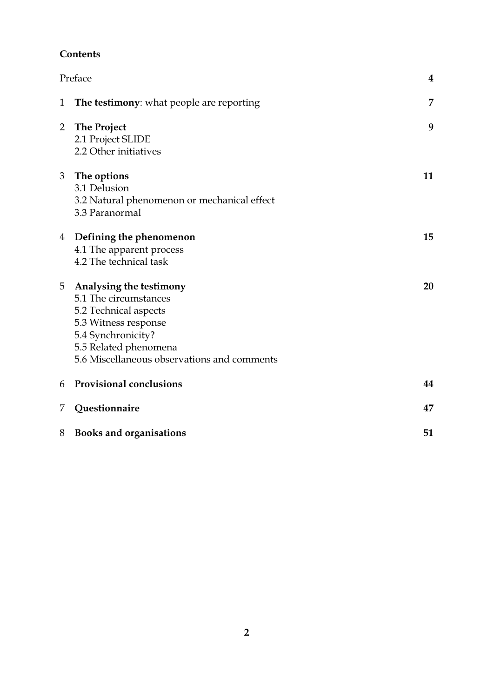### **Contents**

|                | Preface                                                                                                                                                                                         | $\boldsymbol{4}$ |
|----------------|-------------------------------------------------------------------------------------------------------------------------------------------------------------------------------------------------|------------------|
| 1              | <b>The testimony:</b> what people are reporting                                                                                                                                                 | 7                |
| $\overline{2}$ | <b>The Project</b><br>2.1 Project SLIDE<br>2.2 Other initiatives                                                                                                                                | 9                |
| 3              | The options<br>3.1 Delusion<br>3.2 Natural phenomenon or mechanical effect<br>3.3 Paranormal                                                                                                    | 11               |
| 4              | Defining the phenomenon<br>4.1 The apparent process<br>4.2 The technical task                                                                                                                   | 15               |
| 5              | Analysing the testimony<br>5.1 The circumstances<br>5.2 Technical aspects<br>5.3 Witness response<br>5.4 Synchronicity?<br>5.5 Related phenomena<br>5.6 Miscellaneous observations and comments | 20               |
| 6              | <b>Provisional conclusions</b>                                                                                                                                                                  | 44               |
| 7              | Questionnaire                                                                                                                                                                                   | 47               |
| 8              | <b>Books and organisations</b>                                                                                                                                                                  | 51               |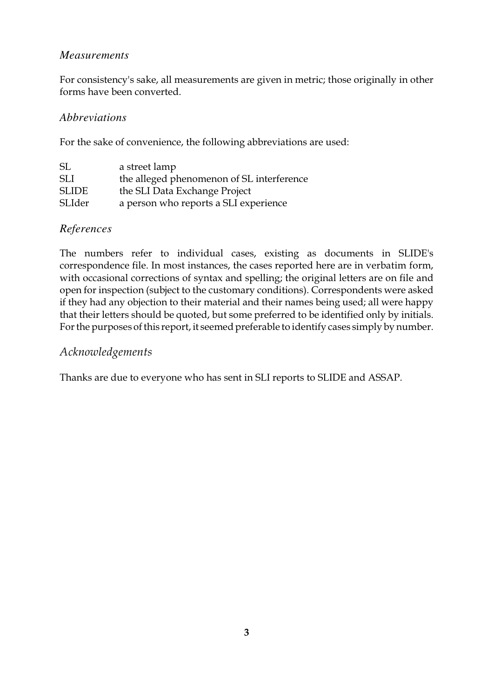#### *Measurements*

For consistency's sake, all measurements are given in metric; those originally in other forms have been converted.

#### *Abbreviations*

For the sake of convenience, the following abbreviations are used:

| SL           | a street lamp                             |
|--------------|-------------------------------------------|
| <b>SLI</b>   | the alleged phenomenon of SL interference |
| <b>SLIDE</b> | the SLI Data Exchange Project             |
| SLIder       | a person who reports a SLI experience     |

#### *References*

The numbers refer to individual cases, existing as documents in SLIDE's correspondence file. In most instances, the cases reported here are in verbatim form, with occasional corrections of syntax and spelling; the original letters are on file and open for inspection (subject to the customary conditions). Correspondents were asked if they had any objection to their material and their names being used; all were happy that their letters should be quoted, but some preferred to be identified only by initials. For the purposes of this report, it seemed preferable to identify cases simply by number.

#### *Acknowledgements*

Thanks are due to everyone who has sent in SLI reports to SLIDE and ASSAP.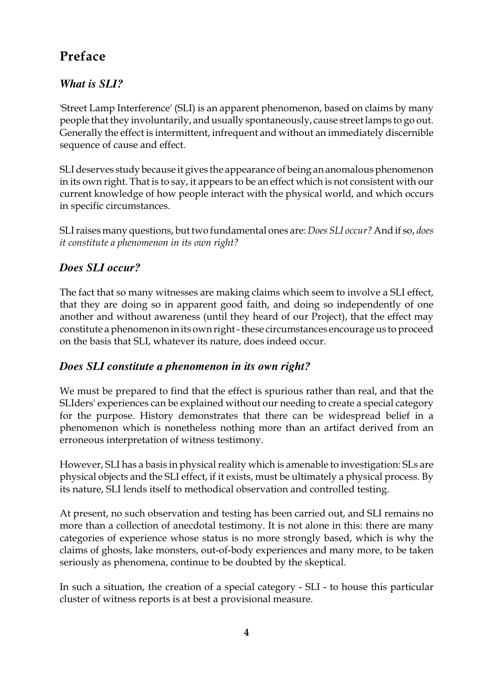# **Preface**

# *What is SLI?*

'Street Lamp Interference' (SLI) is an apparent phenomenon, based on claims by many people that they involuntarily, and usually spontaneously, cause street lamps to go out. Generally the effect is intermittent, infrequent and without an immediately discernible sequence of cause and effect.

SLI deserves study because it gives the appearance of being an anomalous phenomenon in its own right. That is to say, it appears to be an effect which is not consistent with our current knowledge of how people interact with the physical world, and which occurs in specific circumstances.

SLI raises many questions, but two fundamental ones are: *Does SLI occur?* And if so, *does it constitute a phenomenon in its own right?* 

## *Does SLI occur?*

The fact that so many witnesses are making claims which seem to involve a SLI effect, that they are doing so in apparent good faith, and doing so independently of one another and without awareness (until they heard of our Project), that the effect may constitute a phenomenon in its own right - these circumstances encourage us to proceed on the basis that SLI, whatever its nature, does indeed occur.

### *Does SLI constitute a phenomenon in its own right?*

We must be prepared to find that the effect is spurious rather than real, and that the SLIders' experiences can be explained without our needing to create a special category for the purpose. History demonstrates that there can be widespread belief in a phenomenon which is nonetheless nothing more than an artifact derived from an erroneous interpretation of witness testimony.

However, SLI has a basis in physical reality which is amenable to investigation: SLs are physical objects and the SLI effect, if it exists, must be ultimately a physical process. By its nature, SLI lends itself to methodical observation and controlled testing.

At present, no such observation and testing has been carried out, and SLI remains no more than a collection of anecdotal testimony. It is not alone in this: there are many categories of experience whose status is no more strongly based, which is why the claims of ghosts, lake monsters, out-of-body experiences and many more, to be taken seriously as phenomena, continue to be doubted by the skeptical.

In such a situation, the creation of a special category - SLI - to house this particular cluster of witness reports is at best a provisional measure.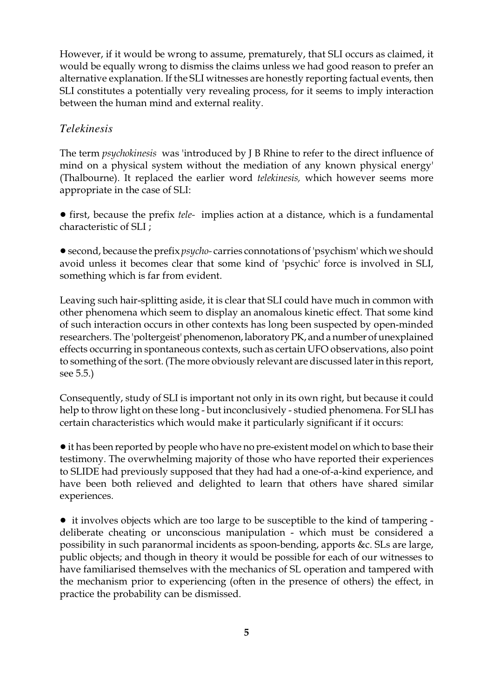However, if it would be wrong to assume, prematurely, that SLI occurs as claimed, it would be equally wrong to dismiss the claims unless we had good reason to prefer an alternative explanation. If the SLI witnesses are honestly reporting factual events, then SLI constitutes a potentially very revealing process, for it seems to imply interaction between the human mind and external reality.

### *Telekinesis*

The term *psychokinesis* was 'introduced by J B Rhine to refer to the direct influence of mind on a physical system without the mediation of any known physical energy' (Thalbourne). It replaced the earlier word *telekinesis,* which however seems more appropriate in the case of SLI:

! first, because the prefix *tele-* implies action at a distance, which is a fundamental characteristic of SLI ;

!second, because the prefix *psycho-* carries connotations of 'psychism' which we should avoid unless it becomes clear that some kind of 'psychic' force is involved in SLI, something which is far from evident.

Leaving such hair-splitting aside, it is clear that SLI could have much in common with other phenomena which seem to display an anomalous kinetic effect. That some kind of such interaction occurs in other contexts has long been suspected by open-minded researchers. The 'poltergeist' phenomenon, laboratory PK, and a number of unexplained effects occurring in spontaneous contexts, such as certain UFO observations, also point to something of the sort. (The more obviously relevant are discussed later in this report, see 5.5.)

Consequently, study of SLI is important not only in its own right, but because it could help to throw light on these long - but inconclusively - studied phenomena. For SLI has certain characteristics which would make it particularly significant if it occurs:

• it has been reported by people who have no pre-existent model on which to base their testimony. The overwhelming majority of those who have reported their experiences to SLIDE had previously supposed that they had had a one-of-a-kind experience, and have been both relieved and delighted to learn that others have shared similar experiences.

• it involves objects which are too large to be susceptible to the kind of tampering deliberate cheating or unconscious manipulation - which must be considered a possibility in such paranormal incidents as spoon-bending, apports &c. SLs are large, public objects; and though in theory it would be possible for each of our witnesses to have familiarised themselves with the mechanics of SL operation and tampered with the mechanism prior to experiencing (often in the presence of others) the effect, in practice the probability can be dismissed.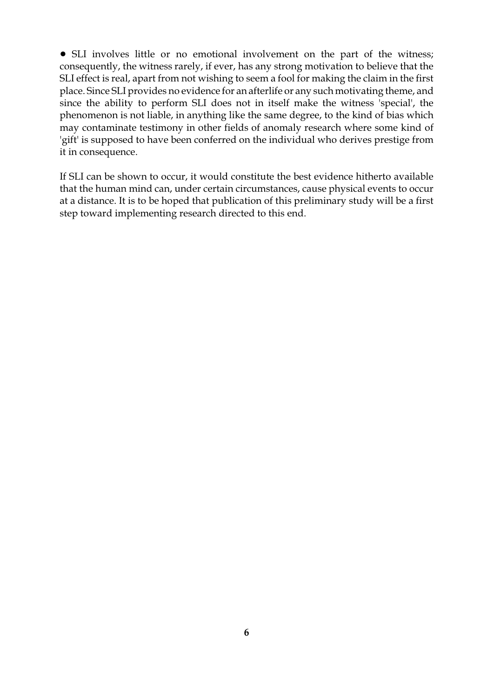• SLI involves little or no emotional involvement on the part of the witness; consequently, the witness rarely, if ever, has any strong motivation to believe that the SLI effect is real, apart from not wishing to seem a fool for making the claim in the first place. Since SLI provides no evidence for an afterlife or any such motivating theme, and since the ability to perform SLI does not in itself make the witness 'special', the phenomenon is not liable, in anything like the same degree, to the kind of bias which may contaminate testimony in other fields of anomaly research where some kind of 'gift' is supposed to have been conferred on the individual who derives prestige from it in consequence.

If SLI can be shown to occur, it would constitute the best evidence hitherto available that the human mind can, under certain circumstances, cause physical events to occur at a distance. It is to be hoped that publication of this preliminary study will be a first step toward implementing research directed to this end.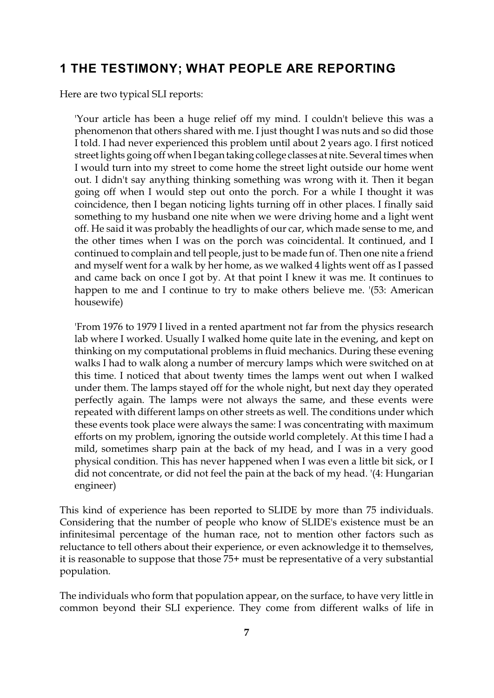# **1 THE TESTIMONY; WHAT PEOPLE ARE REPORTING**

Here are two typical SLI reports:

'Your article has been a huge relief off my mind. I couldn't believe this was a phenomenon that others shared with me. I just thought I was nuts and so did those I told. I had never experienced this problem until about 2 years ago. I first noticed street lights going off when I begantaking college classes at nite. Several times when I would turn into my street to come home the street light outside our home went out. I didn't say anything thinking something was wrong with it. Then it began going off when I would step out onto the porch. For a while I thought it was coincidence, then I began noticing lights turning off in other places. I finally said something to my husband one nite when we were driving home and a light went off. He said it was probably the headlights of our car, which made sense to me, and the other times when I was on the porch was coincidental. It continued, and I continued to complain and tell people, just to be made fun of. Then one nite a friend and myself went for a walk by her home, as we walked 4 lights went off as I passed and came back on once I got by. At that point I knew it was me. It continues to happen to me and I continue to try to make others believe me. '(53: American housewife)

'From 1976 to 1979 I lived in a rented apartment not far from the physics research lab where I worked. Usually I walked home quite late in the evening, and kept on thinking on my computational problems in fluid mechanics. During these evening walks I had to walk along a number of mercury lamps which were switched on at this time. I noticed that about twenty times the lamps went out when I walked under them. The lamps stayed off for the whole night, but next day they operated perfectly again. The lamps were not always the same, and these events were repeated with different lamps on other streets as well. The conditions under which these events took place were always the same: I was concentrating with maximum efforts on my problem, ignoring the outside world completely. At this time I had a mild, sometimes sharp pain at the back of my head, and I was in a very good physical condition. This has never happened when I was even a little bit sick, or I did not concentrate, or did not feel the pain at the back of my head. '(4: Hungarian engineer)

This kind of experience has been reported to SLIDE by more than 75 individuals. Considering that the number of people who know of SLIDE's existence must be an infinitesimal percentage of the human race, not to mention other factors such as reluctance to tell others about their experience, or even acknowledge it to themselves, it is reasonable to suppose that those 75+ must be representative of a very substantial population.

The individuals who form that population appear, on the surface, to have very little in common beyond their SLI experience. They come from different walks of life in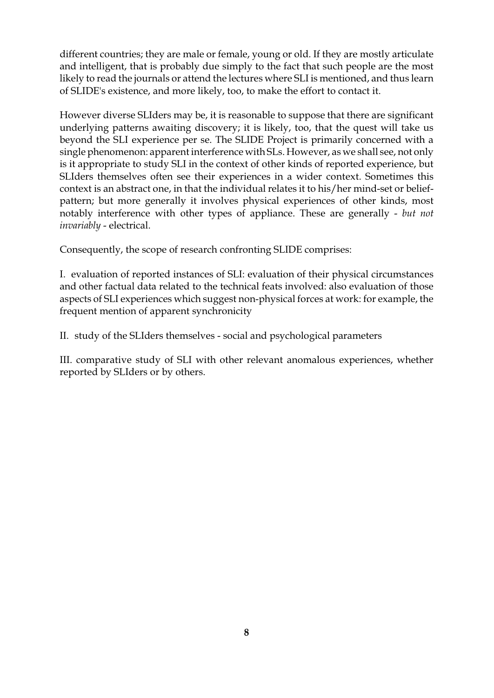different countries; they are male or female, young or old. If they are mostly articulate and intelligent, that is probably due simply to the fact that such people are the most likely to read the journals or attend the lectures where SLI is mentioned, and thus learn of SLIDE's existence, and more likely, too, to make the effort to contact it.

However diverse SLIders may be, it is reasonable to suppose that there are significant underlying patterns awaiting discovery; it is likely, too, that the quest will take us beyond the SLI experience per se. The SLIDE Project is primarily concerned with a single phenomenon: apparent interference with SLs. However, as we shall see, not only is it appropriate to study SLI in the context of other kinds of reported experience, but SLIders themselves often see their experiences in a wider context. Sometimes this context is an abstract one, in that the individual relates it to his/her mind-set or beliefpattern; but more generally it involves physical experiences of other kinds, most notably interference with other types of appliance. These are generally - *but not invariably* - electrical.

Consequently, the scope of research confronting SLIDE comprises:

I. evaluation of reported instances of SLI: evaluation of their physical circumstances and other factual data related to the technical feats involved: also evaluation of those aspects of SLI experiences which suggest non-physical forces at work: for example, the frequent mention of apparent synchronicity

II. study of the SLIders themselves - social and psychological parameters

III. comparative study of SLI with other relevant anomalous experiences, whether reported by SLIders or by others.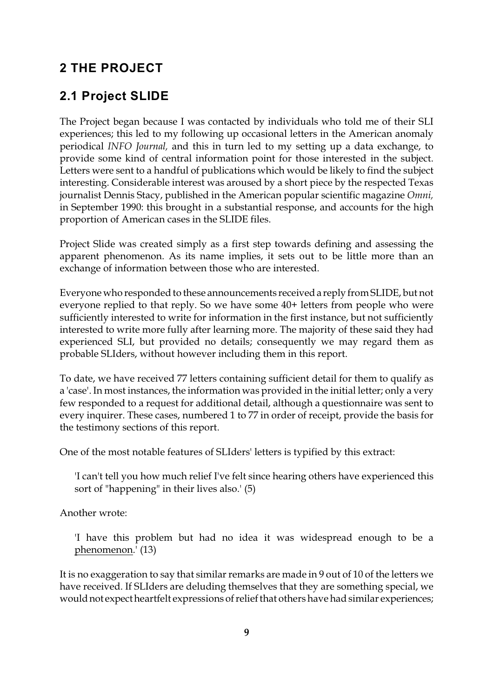# **2 THE PROJECT**

# **2.1 Project SLIDE**

The Project began because I was contacted by individuals who told me of their SLI experiences; this led to my following up occasional letters in the American anomaly periodical *INFO Journal,* and this in turn led to my setting up a data exchange, to provide some kind of central information point for those interested in the subject. Letters were sent to a handful of publications which would be likely to find the subject interesting. Considerable interest was aroused by a short piece by the respected Texas journalist Dennis Stacy, published in the American popular scientific magazine *Omni,* in September 1990: this brought in a substantial response, and accounts for the high proportion of American cases in the SLIDE files.

Project Slide was created simply as a first step towards defining and assessing the apparent phenomenon. As its name implies, it sets out to be little more than an exchange of information between those who are interested.

Everyone who responded to these announcements received a reply from SLIDE, but not everyone replied to that reply. So we have some 40+ letters from people who were sufficiently interested to write for information in the first instance, but not sufficiently interested to write more fully after learning more. The majority of these said they had experienced SLI, but provided no details; consequently we may regard them as probable SLIders, without however including them in this report.

To date, we have received 77 letters containing sufficient detail for them to qualify as a 'case'. In most instances, the information was provided in the initial letter; only a very few responded to a request for additional detail, although a questionnaire was sent to every inquirer. These cases, numbered 1 to 77 in order of receipt, provide the basis for the testimony sections of this report.

One of the most notable features of SLIders' letters is typified by this extract:

'I can't tell you how much relief I've felt since hearing others have experienced this sort of "happening" in their lives also.' (5)

Another wrote:

'I have this problem but had no idea it was widespread enough to be a phenomenon.' (13)

It is no exaggeration to say that similar remarks are made in 9 out of 10 of the letters we have received. If SLIders are deluding themselves that they are something special, we would not expect heartfelt expressions of relief that others have had similar experiences;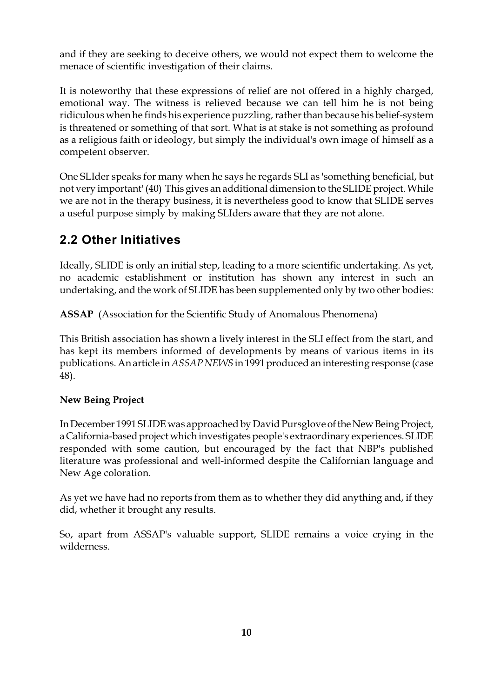and if they are seeking to deceive others, we would not expect them to welcome the menace of scientific investigation of their claims.

It is noteworthy that these expressions of relief are not offered in a highly charged, emotional way. The witness is relieved because we can tell him he is not being ridiculous when he finds his experience puzzling, rather than because his belief-system is threatened or something of that sort. What is at stake is not something as profound as a religious faith or ideology, but simply the individual's own image of himself as a competent observer.

One SLIder speaks for many when he says he regards SLI as 'something beneficial, but not very important' (40) This gives an additional dimension to the SLIDE project. While we are not in the therapy business, it is nevertheless good to know that SLIDE serves a useful purpose simply by making SLIders aware that they are not alone.

# **2.2 Other Initiatives**

Ideally, SLIDE is only an initial step, leading to a more scientific undertaking. As yet, no academic establishment or institution has shown any interest in such an undertaking, and the work of SLIDE has been supplemented only by two other bodies:

**ASSAP** (Association for the Scientific Study of Anomalous Phenomena)

This British association has shown a lively interest in the SLI effect from the start, and has kept its members informed of developments by means of various items in its publications. An article in *ASSAP NEWS* in 1991 produced an interesting response (case 48).

### **New Being Project**

In December 1991 SLIDE was approached by David Pursglove of the New Being Project, a California-based project which investigates people's extraordinary experiences. SLIDE responded with some caution, but encouraged by the fact that NBP's published literature was professional and well-informed despite the Californian language and New Age coloration.

As yet we have had no reports from them as to whether they did anything and, if they did, whether it brought any results.

So, apart from ASSAP's valuable support, SLIDE remains a voice crying in the wilderness.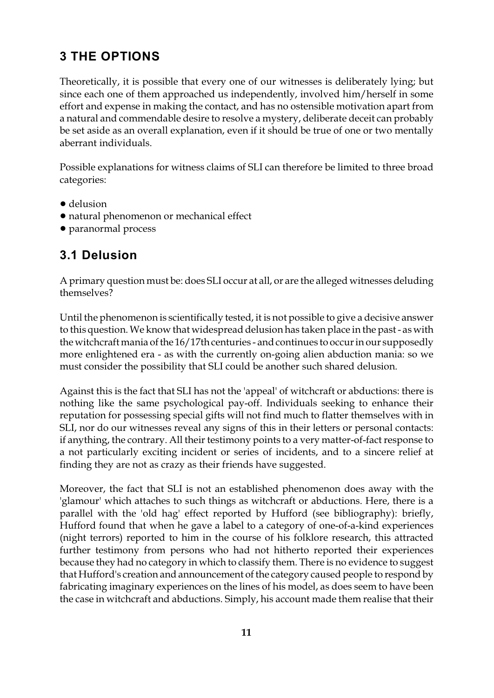# **3 THE OPTIONS**

Theoretically, it is possible that every one of our witnesses is deliberately lying; but since each one of them approached us independently, involved him/herself in some effort and expense in making the contact, and has no ostensible motivation apart from a natural and commendable desire to resolve a mystery, deliberate deceit can probably be set aside as an overall explanation, even if it should be true of one or two mentally aberrant individuals.

Possible explanations for witness claims of SLI can therefore be limited to three broad categories:

- delusion
- ! natural phenomenon or mechanical effect
- ! paranormal process

# **3.1 Delusion**

A primary question must be: does SLI occur at all, or are the alleged witnesses deluding themselves?

Until the phenomenon is scientifically tested, it is not possible to give a decisive answer to this question. We know that widespread delusion has taken place in the past - as with the witchcraft mania of the 16/17th centuries - and continues to occur in our supposedly more enlightened era - as with the currently on-going alien abduction mania: so we must consider the possibility that SLI could be another such shared delusion.

Against this is the fact that SLI has not the 'appeal' of witchcraft or abductions: there is nothing like the same psychological pay-off. Individuals seeking to enhance their reputation for possessing special gifts will not find much to flatter themselves with in SLI, nor do our witnesses reveal any signs of this in their letters or personal contacts: if anything, the contrary. All their testimony points to a very matter-of-fact response to a not particularly exciting incident or series of incidents, and to a sincere relief at finding they are not as crazy as their friends have suggested.

Moreover, the fact that SLI is not an established phenomenon does away with the 'glamour' which attaches to such things as witchcraft or abductions. Here, there is a parallel with the 'old hag' effect reported by Hufford (see bibliography): briefly, Hufford found that when he gave a label to a category of one-of-a-kind experiences (night terrors) reported to him in the course of his folklore research, this attracted further testimony from persons who had not hitherto reported their experiences because they had no category in which to classify them. There is no evidence to suggest that Hufford's creation and announcement of the category caused people to respond by fabricating imaginary experiences on the lines of his model, as does seem to have been the case in witchcraft and abductions. Simply, his account made them realise that their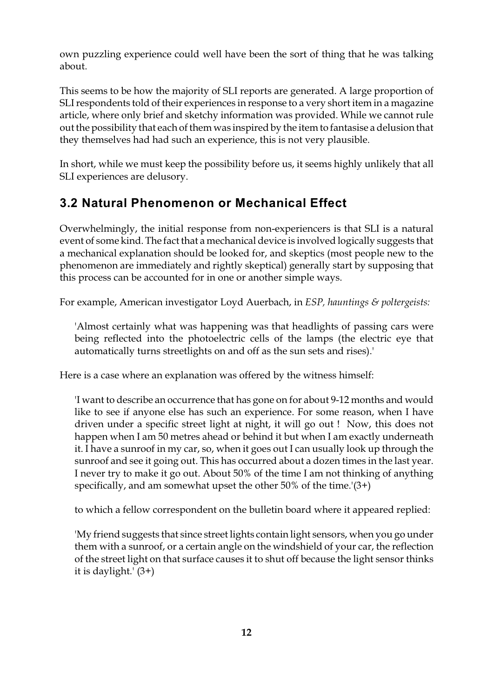own puzzling experience could well have been the sort of thing that he was talking about.

This seems to be how the majority of SLI reports are generated. A large proportion of SLI respondents told of their experiences in response to a very short item in a magazine article, where only brief and sketchy information was provided. While we cannot rule out the possibility that each of them was inspired by the item to fantasise a delusion that they themselves had had such an experience, this is not very plausible.

In short, while we must keep the possibility before us, it seems highly unlikely that all SLI experiences are delusory.

# **3.2 Natural Phenomenon or Mechanical Effect**

Overwhelmingly, the initial response from non-experiencers is that SLI is a natural event of some kind. The fact that a mechanical device is involved logically suggests that a mechanical explanation should be looked for, and skeptics (most people new to the phenomenon are immediately and rightly skeptical) generally start by supposing that this process can be accounted for in one or another simple ways.

For example, American investigator Loyd Auerbach, in *ESP, hauntings & poltergeists:*

'Almost certainly what was happening was that headlights of passing cars were being reflected into the photoelectric cells of the lamps (the electric eye that automatically turns streetlights on and off as the sun sets and rises).'

Here is a case where an explanation was offered by the witness himself:

'I want to describe an occurrence that has gone on for about 9-12 months and would like to see if anyone else has such an experience. For some reason, when I have driven under a specific street light at night, it will go out ! Now, this does not happen when I am 50 metres ahead or behind it but when I am exactly underneath it. I have a sunroof in my car, so, when it goes out I can usually look up through the sunroof and see it going out. This has occurred about a dozen times in the last year. I never try to make it go out. About 50% of the time I am not thinking of anything specifically, and am somewhat upset the other  $50\%$  of the time.'(3+)

to which a fellow correspondent on the bulletin board where it appeared replied:

'My friend suggests that since street lights contain light sensors, when you go under them with a sunroof, or a certain angle on the windshield of your car, the reflection of the street light on that surface causes it to shut off because the light sensor thinks it is daylight.' (3+)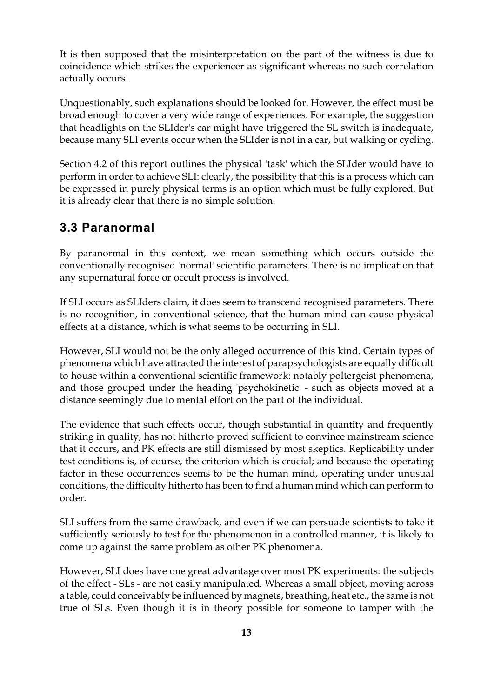It is then supposed that the misinterpretation on the part of the witness is due to coincidence which strikes the experiencer as significant whereas no such correlation actually occurs.

Unquestionably, such explanations should be looked for. However, the effect must be broad enough to cover a very wide range of experiences. For example, the suggestion that headlights on the SLIder's car might have triggered the SL switch is inadequate, because many SLI events occur when the SLIder is not in a car, but walking or cycling.

Section 4.2 of this report outlines the physical 'task' which the SLIder would have to perform in order to achieve SLI: clearly, the possibility that this is a process which can be expressed in purely physical terms is an option which must be fully explored. But it is already clear that there is no simple solution.

# **3.3 Paranormal**

By paranormal in this context, we mean something which occurs outside the conventionally recognised 'normal' scientific parameters. There is no implication that any supernatural force or occult process is involved.

If SLI occurs as SLIders claim, it does seem to transcend recognised parameters. There is no recognition, in conventional science, that the human mind can cause physical effects at a distance, which is what seems to be occurring in SLI.

However, SLI would not be the only alleged occurrence of this kind. Certain types of phenomena which have attracted the interest of parapsychologists are equally difficult to house within a conventional scientific framework: notably poltergeist phenomena, and those grouped under the heading 'psychokinetic' - such as objects moved at a distance seemingly due to mental effort on the part of the individual.

The evidence that such effects occur, though substantial in quantity and frequently striking in quality, has not hitherto proved sufficient to convince mainstream science that it occurs, and PK effects are still dismissed by most skeptics. Replicability under test conditions is, of course, the criterion which is crucial; and because the operating factor in these occurrences seems to be the human mind, operating under unusual conditions, the difficulty hitherto has been to find a human mind which can perform to order.

SLI suffers from the same drawback, and even if we can persuade scientists to take it sufficiently seriously to test for the phenomenon in a controlled manner, it is likely to come up against the same problem as other PK phenomena.

However, SLI does have one great advantage over most PK experiments: the subjects of the effect - SLs - are not easily manipulated. Whereas a small object, moving across a table, could conceivably be influenced by magnets, breathing, heat etc., the same is not true of SLs. Even though it is in theory possible for someone to tamper with the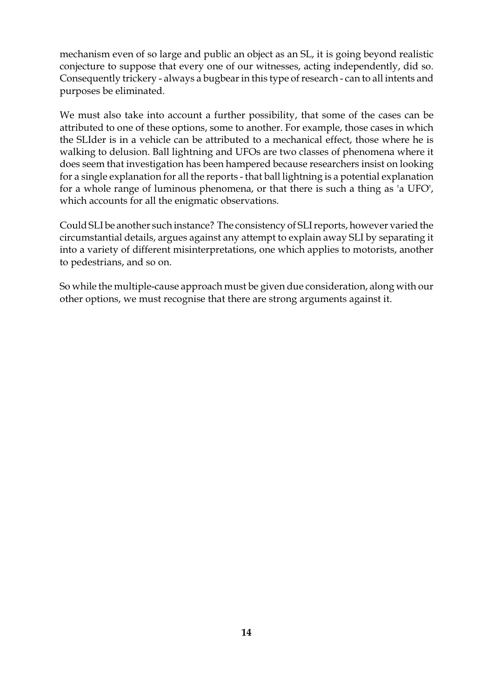mechanism even of so large and public an object as an SL, it is going beyond realistic conjecture to suppose that every one of our witnesses, acting independently, did so. Consequently trickery - always a bugbear in this type of research - can to all intents and purposes be eliminated.

We must also take into account a further possibility, that some of the cases can be attributed to one of these options, some to another. For example, those cases in which the SLIder is in a vehicle can be attributed to a mechanical effect, those where he is walking to delusion. Ball lightning and UFOs are two classes of phenomena where it does seem that investigation has been hampered because researchers insist on looking for a single explanation for all the reports - that ball lightning is a potential explanation for a whole range of luminous phenomena, or that there is such a thing as 'a UFO', which accounts for all the enigmatic observations.

Could SLI be another such instance? The consistency of SLI reports, however varied the circumstantial details, argues against any attempt to explain away SLI by separating it into a variety of different misinterpretations, one which applies to motorists, another to pedestrians, and so on.

So while the multiple-cause approach must be given due consideration, along with our other options, we must recognise that there are strong arguments against it.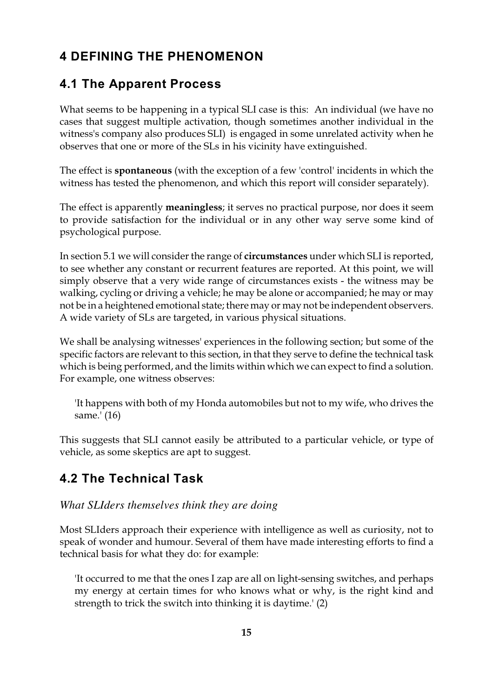# **4 DEFINING THE PHENOMENON**

# **4.1 The Apparent Process**

What seems to be happening in a typical SLI case is this: An individual (we have no cases that suggest multiple activation, though sometimes another individual in the witness's company also produces SLI) is engaged in some unrelated activity when he observes that one or more of the SLs in his vicinity have extinguished.

The effect is **spontaneous** (with the exception of a few 'control' incidents in which the witness has tested the phenomenon, and which this report will consider separately).

The effect is apparently **meaningless**; it serves no practical purpose, nor does it seem to provide satisfaction for the individual or in any other way serve some kind of psychological purpose.

In section 5.1 we will consider the range of **circumstances** under which SLI is reported, to see whether any constant or recurrent features are reported. At this point, we will simply observe that a very wide range of circumstances exists - the witness may be walking, cycling or driving a vehicle; he may be alone or accompanied; he may or may not be in a heightened emotional state; there may or may not be independent observers. A wide variety of SLs are targeted, in various physical situations.

We shall be analysing witnesses' experiences in the following section; but some of the specific factors are relevant to this section, in that they serve to define the technical task which is being performed, and the limits within which we can expect to find a solution. For example, one witness observes:

'It happens with both of my Honda automobiles but not to my wife, who drives the same.' (16)

This suggests that SLI cannot easily be attributed to a particular vehicle, or type of vehicle, as some skeptics are apt to suggest.

# **4.2 The Technical Task**

#### *What SLIders themselves think they are doing*

Most SLIders approach their experience with intelligence as well as curiosity, not to speak of wonder and humour. Several of them have made interesting efforts to find a technical basis for what they do: for example:

'It occurred to me that the ones I zap are all on light-sensing switches, and perhaps my energy at certain times for who knows what or why, is the right kind and strength to trick the switch into thinking it is daytime.' (2)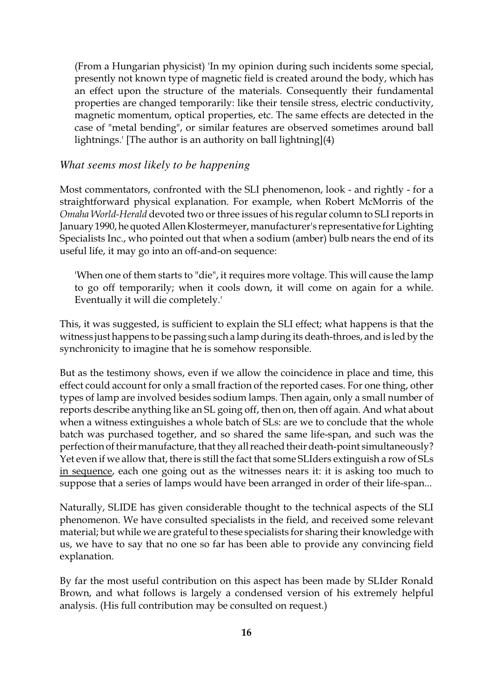(From a Hungarian physicist) 'In my opinion during such incidents some special, presently not known type of magnetic field is created around the body, which has an effect upon the structure of the materials. Consequently their fundamental properties are changed temporarily: like their tensile stress, electric conductivity, magnetic momentum, optical properties, etc. The same effects are detected in the case of "metal bending", or similar features are observed sometimes around ball lightnings.' [The author is an authority on ball lightning](4)

#### *What seems most likely to be happening*

Most commentators, confronted with the SLI phenomenon, look - and rightly - for a straightforward physical explanation. For example, when Robert McMorris of the *Omaha World-Herald* devoted two or three issues of his regular column to SLI reports in January 1990, he quoted Allen Klostermeyer, manufacturer's representative for Lighting Specialists Inc., who pointed out that when a sodium (amber) bulb nears the end of its useful life, it may go into an off-and-on sequence:

'When one of them starts to "die", it requires more voltage. This will cause the lamp to go off temporarily; when it cools down, it will come on again for a while. Eventually it will die completely.'

This, it was suggested, is sufficient to explain the SLI effect; what happens is that the witness just happens to be passing such a lamp during its death-throes, and is led by the synchronicity to imagine that he is somehow responsible.

But as the testimony shows, even if we allow the coincidence in place and time, this effect could account for only a small fraction of the reported cases. For one thing, other types of lamp are involved besides sodium lamps. Then again, only a small number of reports describe anything like an SL going off, then on, then off again. And what about when a witness extinguishes a whole batch of SLs: are we to conclude that the whole batch was purchased together, and so shared the same life-span, and such was the perfection of their manufacture, that they all reached their death-point simultaneously? Yet even if we allow that, there is still the fact that some SLIders extinguish a row of SLs in sequence, each one going out as the witnesses nears it: it is asking too much to suppose that a series of lamps would have been arranged in order of their life-span...

Naturally, SLIDE has given considerable thought to the technical aspects of the SLI phenomenon. We have consulted specialists in the field, and received some relevant material; but while we are grateful to these specialists for sharing their knowledge with us, we have to say that no one so far has been able to provide any convincing field explanation.

By far the most useful contribution on this aspect has been made by SLIder Ronald Brown, and what follows is largely a condensed version of his extremely helpful analysis. (His full contribution may be consulted on request.)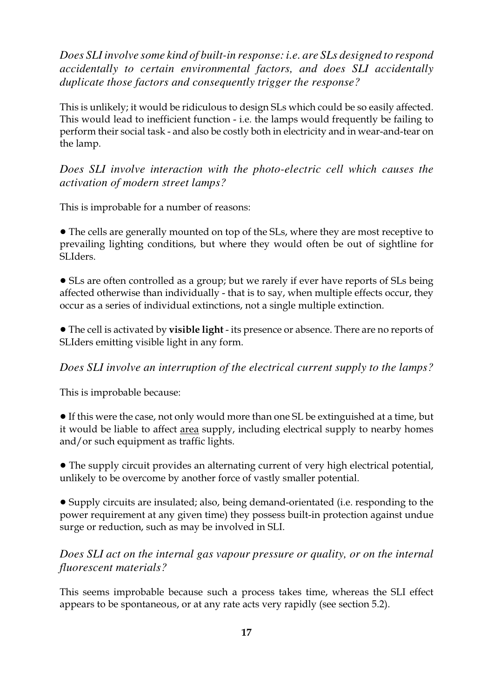*Does SLI involve some kind of built-in response: i.e. are SLs designed to respond accidentally to certain environmental factors, and does SLI accidentally duplicate those factors and consequently trigger the response?*

This is unlikely; it would be ridiculous to design SLs which could be so easily affected. This would lead to inefficient function - i.e. the lamps would frequently be failing to perform their social task - and also be costly both in electricity and in wear-and-tear on the lamp.

#### *Does SLI involve interaction with the photo-electric cell which causes the activation of modern street lamps?*

This is improbable for a number of reasons:

• The cells are generally mounted on top of the SLs, where they are most receptive to prevailing lighting conditions, but where they would often be out of sightline for SLIders.

• SLs are often controlled as a group; but we rarely if ever have reports of SLs being affected otherwise than individually - that is to say, when multiple effects occur, they occur as a series of individual extinctions, not a single multiple extinction.

! The cell is activated by **visible light** - its presence or absence. There are no reports of SLIders emitting visible light in any form.

*Does SLI involve an interruption of the electrical current supply to the lamps?*

This is improbable because:

! If this were the case, not only would more than one SL be extinguished at a time, but it would be liable to affect area supply, including electrical supply to nearby homes and/or such equipment as traffic lights.

• The supply circuit provides an alternating current of very high electrical potential, unlikely to be overcome by another force of vastly smaller potential.

! Supply circuits are insulated; also, being demand-orientated (i.e. responding to the power requirement at any given time) they possess built-in protection against undue surge or reduction, such as may be involved in SLI.

#### *Does SLI act on the internal gas vapour pressure or quality, or on the internal fluorescent materials?*

This seems improbable because such a process takes time, whereas the SLI effect appears to be spontaneous, or at any rate acts very rapidly (see section 5.2).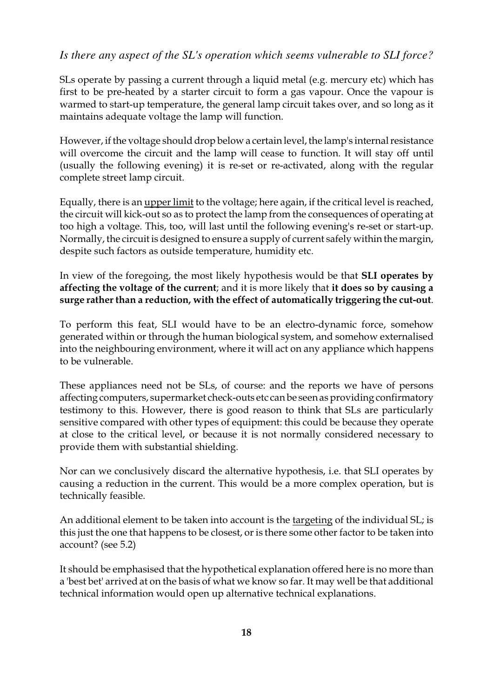#### *Is there any aspect of the SL's operation which seems vulnerable to SLI force?*

SLs operate by passing a current through a liquid metal (e.g. mercury etc) which has first to be pre-heated by a starter circuit to form a gas vapour. Once the vapour is warmed to start-up temperature, the general lamp circuit takes over, and so long as it maintains adequate voltage the lamp will function.

However, if the voltage should drop below a certain level, the lamp's internal resistance will overcome the circuit and the lamp will cease to function. It will stay off until (usually the following evening) it is re-set or re-activated, along with the regular complete street lamp circuit.

Equally, there is an upper limit to the voltage; here again, if the critical level is reached, the circuit will kick-out so as to protect the lamp from the consequences of operating at too high a voltage. This, too, will last until the following evening's re-set or start-up. Normally, the circuit is designed to ensure a supply of current safely within the margin, despite such factors as outside temperature, humidity etc.

In view of the foregoing, the most likely hypothesis would be that **SLI operates by affecting the voltage of the current**; and it is more likely that **it does so by causing a surge rather than a reduction, with the effect of automatically triggering the cut-out**.

To perform this feat, SLI would have to be an electro-dynamic force, somehow generated within or through the human biological system, and somehow externalised into the neighbouring environment, where it will act on any appliance which happens to be vulnerable.

These appliances need not be SLs, of course: and the reports we have of persons affecting computers, supermarket check-outs etc can be seen as providing confirmatory testimony to this. However, there is good reason to think that SLs are particularly sensitive compared with other types of equipment: this could be because they operate at close to the critical level, or because it is not normally considered necessary to provide them with substantial shielding.

Nor can we conclusively discard the alternative hypothesis, i.e. that SLI operates by causing a reduction in the current. This would be a more complex operation, but is technically feasible.

An additional element to be taken into account is the targeting of the individual SL; is this just the one that happens to be closest, or is there some other factor to be taken into account? (see 5.2)

It should be emphasised that the hypothetical explanation offered here is no more than a 'best bet' arrived at on the basis of what we know so far. It may well be that additional technical information would open up alternative technical explanations.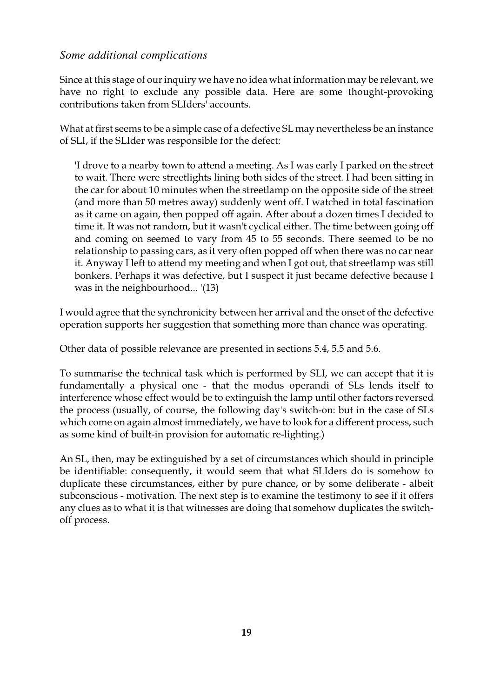#### *Some additional complications*

Since at this stage of our inquiry we have no idea what information may be relevant, we have no right to exclude any possible data. Here are some thought-provoking contributions taken from SLIders' accounts.

What at first seems to be a simple case of a defective SL may nevertheless be an instance of SLI, if the SLIder was responsible for the defect:

'I drove to a nearby town to attend a meeting. As I was early I parked on the street to wait. There were streetlights lining both sides of the street. I had been sitting in the car for about 10 minutes when the streetlamp on the opposite side of the street (and more than 50 metres away) suddenly went off. I watched in total fascination as it came on again, then popped off again. After about a dozen times I decided to time it. It was not random, but it wasn't cyclical either. The time between going off and coming on seemed to vary from 45 to 55 seconds. There seemed to be no relationship to passing cars, as it very often popped off when there was no car near it. Anyway I left to attend my meeting and when I got out, that streetlamp was still bonkers. Perhaps it was defective, but I suspect it just became defective because I was in the neighbourhood... '(13)

I would agree that the synchronicity between her arrival and the onset of the defective operation supports her suggestion that something more than chance was operating.

Other data of possible relevance are presented in sections 5.4, 5.5 and 5.6.

To summarise the technical task which is performed by SLI, we can accept that it is fundamentally a physical one - that the modus operandi of SLs lends itself to interference whose effect would be to extinguish the lamp until other factors reversed the process (usually, of course, the following day's switch-on: but in the case of SLs which come on again almost immediately, we have to look for a different process, such as some kind of built-in provision for automatic re-lighting.)

An SL, then, may be extinguished by a set of circumstances which should in principle be identifiable: consequently, it would seem that what SLIders do is somehow to duplicate these circumstances, either by pure chance, or by some deliberate - albeit subconscious - motivation. The next step is to examine the testimony to see if it offers any clues as to what it is that witnesses are doing that somehow duplicates the switchoff process.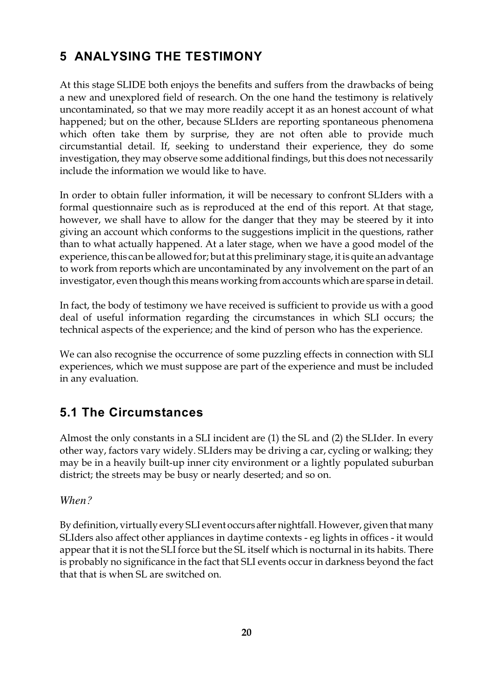# **5 ANALYSING THE TESTIMONY**

At this stage SLIDE both enjoys the benefits and suffers from the drawbacks of being a new and unexplored field of research. On the one hand the testimony is relatively uncontaminated, so that we may more readily accept it as an honest account of what happened; but on the other, because SLIders are reporting spontaneous phenomena which often take them by surprise, they are not often able to provide much circumstantial detail. If, seeking to understand their experience, they do some investigation, they may observe some additional findings, but this does not necessarily include the information we would like to have.

In order to obtain fuller information, it will be necessary to confront SLIders with a formal questionnaire such as is reproduced at the end of this report. At that stage, however, we shall have to allow for the danger that they may be steered by it into giving an account which conforms to the suggestions implicit in the questions, rather than to what actually happened. At a later stage, when we have a good model of the experience, this can be allowed for; but at this preliminary stage, it is quite an advantage to work from reports which are uncontaminated by any involvement on the part of an investigator, even though this means working from accounts which are sparse in detail.

In fact, the body of testimony we have received is sufficient to provide us with a good deal of useful information regarding the circumstances in which SLI occurs; the technical aspects of the experience; and the kind of person who has the experience.

We can also recognise the occurrence of some puzzling effects in connection with SLI experiences, which we must suppose are part of the experience and must be included in any evaluation.

# **5.1 The Circumstances**

Almost the only constants in a SLI incident are (1) the SL and (2) the SLIder. In every other way, factors vary widely. SLIders may be driving a car, cycling or walking; they may be in a heavily built-up inner city environment or a lightly populated suburban district; the streets may be busy or nearly deserted; and so on.

*When?*

By definition, virtually every SLI event occurs after nightfall. However, given that many SLIders also affect other appliances in daytime contexts - eg lights in offices - it would appear that it is not the SLI force but the SL itself which is nocturnal in its habits. There is probably no significance in the fact that SLI events occur in darkness beyond the fact that that is when SL are switched on.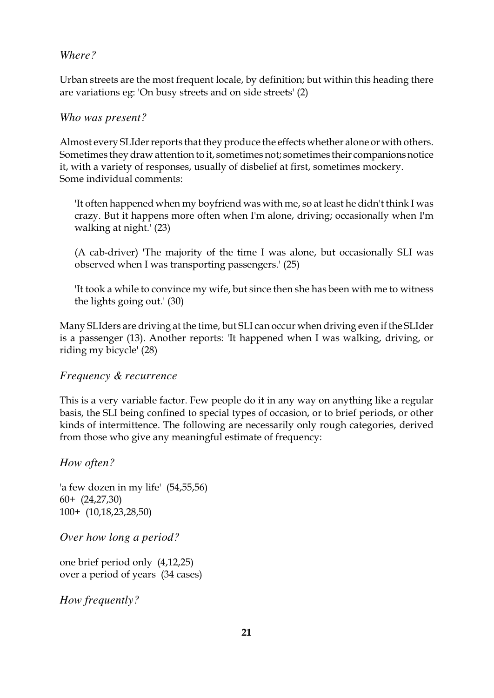#### *Where?*

Urban streets are the most frequent locale, by definition; but within this heading there are variations eg: 'On busy streets and on side streets' (2)

#### *Who was present?*

Almost every SLIder reports that they produce the effects whether alone or with others. Sometimes they draw attention to it, sometimes not; sometimes their companions notice it, with a variety of responses, usually of disbelief at first, sometimes mockery. Some individual comments:

'It often happened when my boyfriend was with me, so at least he didn't think I was crazy. But it happens more often when I'm alone, driving; occasionally when I'm walking at night.' (23)

(A cab-driver) 'The majority of the time I was alone, but occasionally SLI was observed when I was transporting passengers.' (25)

'It took a while to convince my wife, but since then she has been with me to witness the lights going out.' (30)

Many SLIders are driving at the time, but SLI can occur when driving even if the SLIder is a passenger (13). Another reports: 'It happened when I was walking, driving, or riding my bicycle' (28)

#### *Frequency & recurrence*

This is a very variable factor. Few people do it in any way on anything like a regular basis, the SLI being confined to special types of occasion, or to brief periods, or other kinds of intermittence. The following are necessarily only rough categories, derived from those who give any meaningful estimate of frequency:

*How often?*

'a few dozen in my life' (54,55,56) 60+ (24,27,30) 100+ (10,18,23,28,50)

*Over how long a period?*

one brief period only (4,12,25) over a period of years (34 cases)

*How frequently?*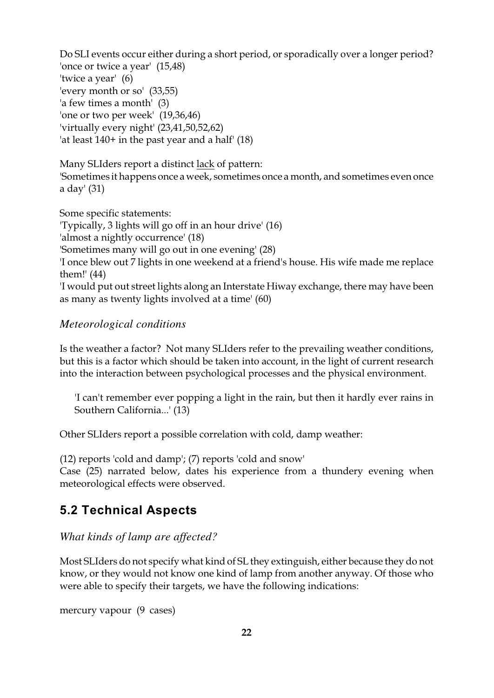Do SLI events occur either during a short period, or sporadically over a longer period? 'once or twice a year' (15,48) 'twice a year' (6) 'every month or so' (33,55) 'a few times a month' (3) 'one or two per week' (19,36,46) 'virtually every night' (23,41,50,52,62) 'at least 140+ in the past year and a half' (18)

Many SLIders report a distinct lack of pattern:

'Sometimes it happens once a week, sometimes once a month, and sometimes even once a day' (31)

Some specific statements: 'Typically, 3 lights will go off in an hour drive' (16) 'almost a nightly occurrence' (18) 'Sometimes many will go out in one evening' (28) 'I once blew out 7 lights in one weekend at a friend's house. His wife made me replace them!' (44) 'I would put out street lights along an Interstate Hiway exchange, there may have been as many as twenty lights involved at a time' (60)

#### *Meteorological conditions*

Is the weather a factor? Not many SLIders refer to the prevailing weather conditions, but this is a factor which should be taken into account, in the light of current research into the interaction between psychological processes and the physical environment.

'I can't remember ever popping a light in the rain, but then it hardly ever rains in Southern California...' (13)

Other SLIders report a possible correlation with cold, damp weather:

(12) reports 'cold and damp'; (7) reports 'cold and snow' Case (25) narrated below, dates his experience from a thundery evening when meteorological effects were observed.

# **5.2 Technical Aspects**

*What kinds of lamp are affected?*

Most SLIders do not specify what kind of SL they extinguish, either because they do not know, or they would not know one kind of lamp from another anyway. Of those who were able to specify their targets, we have the following indications:

mercury vapour (9 cases)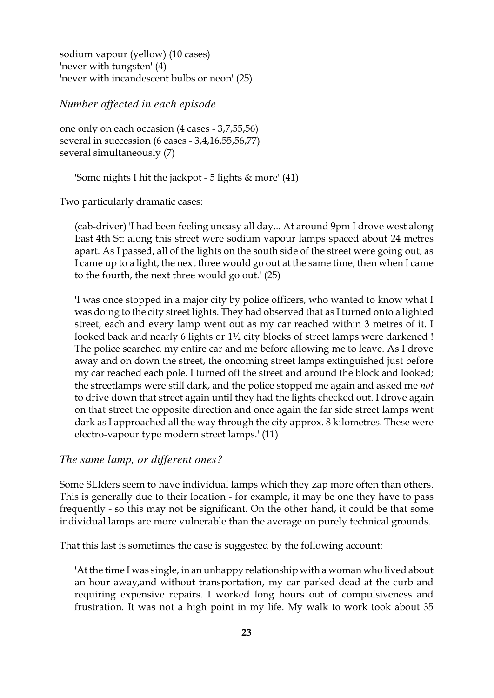sodium vapour (yellow) (10 cases) 'never with tungsten' (4) 'never with incandescent bulbs or neon' (25)

*Number affected in each episode*

one only on each occasion (4 cases - 3,7,55,56) several in succession (6 cases - 3,4,16,55,56,77) several simultaneously (7)

'Some nights I hit the jackpot - 5 lights & more' (41)

Two particularly dramatic cases:

(cab-driver) 'I had been feeling uneasy all day... At around 9pm I drove west along East 4th St: along this street were sodium vapour lamps spaced about 24 metres apart. As I passed, all of the lights on the south side of the street were going out, as I came up to a light, the next three would go out at the same time, then when I came to the fourth, the next three would go out.' (25)

'I was once stopped in a major city by police officers, who wanted to know what I was doing to the city street lights. They had observed that as I turned onto a lighted street, each and every lamp went out as my car reached within 3 metres of it. I looked back and nearly 6 lights or  $1\frac{1}{2}$  city blocks of street lamps were darkened ! The police searched my entire car and me before allowing me to leave. As I drove away and on down the street, the oncoming street lamps extinguished just before my car reached each pole. I turned off the street and around the block and looked; the streetlamps were still dark, and the police stopped me again and asked me *not* to drive down that street again until they had the lights checked out. I drove again on that street the opposite direction and once again the far side street lamps went dark as I approached all the way through the city approx. 8 kilometres. These were electro-vapour type modern street lamps.' (11)

#### *The same lamp, or different ones?*

Some SLIders seem to have individual lamps which they zap more often than others. This is generally due to their location - for example, it may be one they have to pass frequently - so this may not be significant. On the other hand, it could be that some individual lamps are more vulnerable than the average on purely technical grounds.

That this last is sometimes the case is suggested by the following account:

'At the time I was single, in an unhappy relationship with a woman who lived about an hour away,and without transportation, my car parked dead at the curb and requiring expensive repairs. I worked long hours out of compulsiveness and frustration. It was not a high point in my life. My walk to work took about 35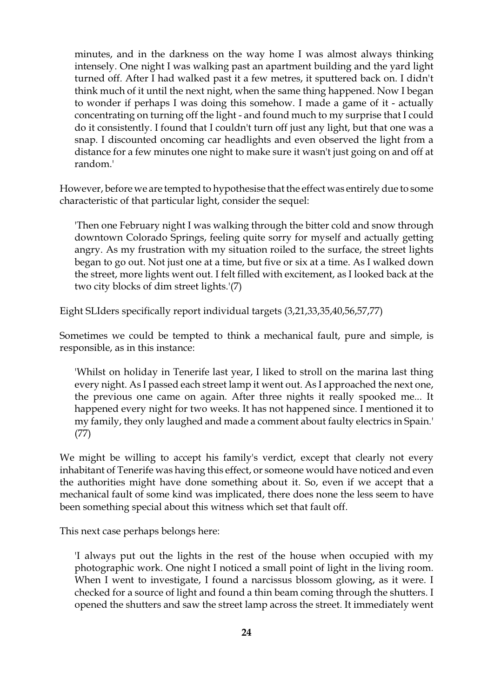minutes, and in the darkness on the way home I was almost always thinking intensely. One night I was walking past an apartment building and the yard light turned off. After I had walked past it a few metres, it sputtered back on. I didn't think much of it until the next night, when the same thing happened. Now I began to wonder if perhaps I was doing this somehow. I made a game of it - actually concentrating on turning off the light - and found much to my surprise that I could do it consistently. I found that I couldn't turn off just any light, but that one was a snap. I discounted oncoming car headlights and even observed the light from a distance for a few minutes one night to make sure it wasn't just going on and off at random.'

However, before we are tempted to hypothesise that the effect was entirely due to some characteristic of that particular light, consider the sequel:

'Then one February night I was walking through the bitter cold and snow through downtown Colorado Springs, feeling quite sorry for myself and actually getting angry. As my frustration with my situation roiled to the surface, the street lights began to go out. Not just one at a time, but five or six at a time. As I walked down the street, more lights went out. I felt filled with excitement, as I looked back at the two city blocks of dim street lights.'(7)

Eight SLIders specifically report individual targets (3,21,33,35,40,56,57,77)

Sometimes we could be tempted to think a mechanical fault, pure and simple, is responsible, as in this instance:

'Whilst on holiday in Tenerife last year, I liked to stroll on the marina last thing every night. As I passed each street lamp it went out. As I approached the next one, the previous one came on again. After three nights it really spooked me... It happened every night for two weeks. It has not happened since. I mentioned it to my family, they only laughed and made a comment about faulty electrics in Spain.' (77)

We might be willing to accept his family's verdict, except that clearly not every inhabitant of Tenerife was having this effect, or someone would have noticed and even the authorities might have done something about it. So, even if we accept that a mechanical fault of some kind was implicated, there does none the less seem to have been something special about this witness which set that fault off.

This next case perhaps belongs here:

'I always put out the lights in the rest of the house when occupied with my photographic work. One night I noticed a small point of light in the living room. When I went to investigate, I found a narcissus blossom glowing, as it were. I checked for a source of light and found a thin beam coming through the shutters. I opened the shutters and saw the street lamp across the street. It immediately went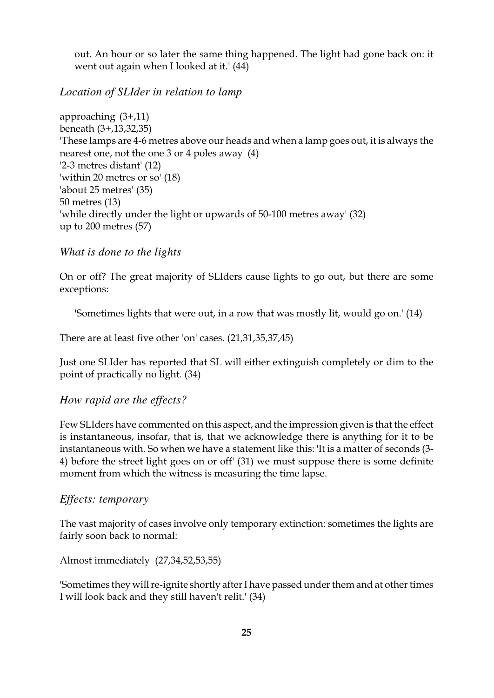out. An hour or so later the same thing happened. The light had gone back on: it went out again when I looked at it.' (44)

#### *Location of SLIder in relation to lamp*

approaching (3+,11) beneath (3+,13,32,35) 'These lamps are 4-6 metres above our heads and when a lamp goes out, it is always the nearest one, not the one 3 or 4 poles away' (4) '2-3 metres distant' (12) 'within 20 metres or so' (18) 'about 25 metres' (35) 50 metres (13) 'while directly under the light or upwards of 50-100 metres away' (32) up to 200 metres (57)

#### *What is done to the lights*

On or off? The great majority of SLIders cause lights to go out, but there are some exceptions:

'Sometimes lights that were out, in a row that was mostly lit, would go on.' (14)

There are at least five other 'on' cases. (21,31,35,37,45)

Just one SLIder has reported that SL will either extinguish completely or dim to the point of practically no light. (34)

#### *How rapid are the effects?*

Few SLIders have commented on this aspect, and the impression given is that the effect is instantaneous, insofar, that is, that we acknowledge there is anything for it to be instantaneous with. So when we have a statement like this: 'It is a matter of seconds (3- 4) before the street light goes on or off' (31) we must suppose there is some definite moment from which the witness is measuring the time lapse.

#### *Effects: temporary*

The vast majority of cases involve only temporary extinction: sometimes the lights are fairly soon back to normal:

Almost immediately (27,34,52,53,55)

'Sometimes they will re-ignite shortly after I have passed under them and at other times I will look back and they still haven't relit.' (34)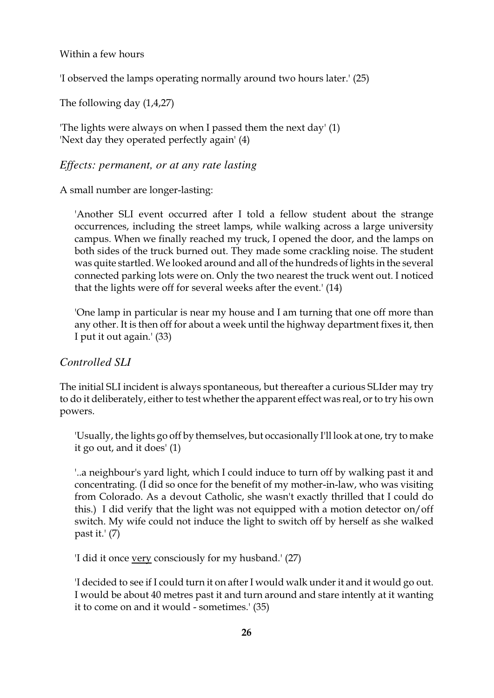#### Within a few hours

'I observed the lamps operating normally around two hours later.' (25)

The following day (1,4,27)

'The lights were always on when I passed them the next day' (1) 'Next day they operated perfectly again' (4)

#### *Effects: permanent, or at any rate lasting*

A small number are longer-lasting:

'Another SLI event occurred after I told a fellow student about the strange occurrences, including the street lamps, while walking across a large university campus. When we finally reached my truck, I opened the door, and the lamps on both sides of the truck burned out. They made some crackling noise. The student was quite startled. We looked around and all of the hundreds of lights in the several connected parking lots were on. Only the two nearest the truck went out. I noticed that the lights were off for several weeks after the event.' (14)

'One lamp in particular is near my house and I am turning that one off more than any other. It is then off for about a week until the highway department fixes it, then I put it out again.' (33)

#### *Controlled SLI*

The initial SLI incident is always spontaneous, but thereafter a curious SLIder may try to do it deliberately, either to test whether the apparent effect was real, or to try his own powers.

'Usually, the lights go off by themselves, but occasionally I'll look at one, try to make it go out, and it does' (1)

'..a neighbour's yard light, which I could induce to turn off by walking past it and concentrating. (I did so once for the benefit of my mother-in-law, who was visiting from Colorado. As a devout Catholic, she wasn't exactly thrilled that I could do this.) I did verify that the light was not equipped with a motion detector on/off switch. My wife could not induce the light to switch off by herself as she walked past it.' (7)

'I did it once very consciously for my husband.' (27)

'I decided to see if I could turn it on afterI would walk under it and it would go out. I would be about 40 metres past it and turn around and stare intently at it wanting it to come on and it would - sometimes.' (35)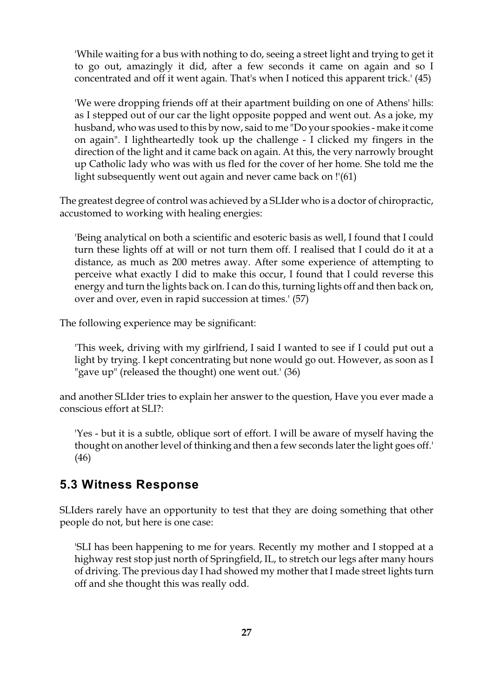'While waiting for a bus with nothing to do, seeing a street light and trying to get it to go out, amazingly it did, after a few seconds it came on again and so I concentrated and off it went again. That's when I noticed this apparent trick.' (45)

'We were dropping friends off at their apartment building on one of Athens' hills: as I stepped out of our car the light opposite popped and went out. As a joke, my husband, who was used to this by now, said to me "Do your spookies - make it come on again". I lightheartedly took up the challenge - I clicked my fingers in the direction of the light and it came back on again. At this, the very narrowly brought up Catholic lady who was with us fled for the cover of her home. She told me the light subsequently went out again and never came back on !'(61)

The greatest degree of control was achieved by a SLIder who is a doctor of chiropractic, accustomed to working with healing energies:

'Being analytical on both a scientific and esoteric basis as well, I found that I could turn these lights off at will or not turn them off. I realised that I could do it at a distance, as much as 200 metres away. After some experience of attempting to perceive what exactly I did to make this occur, I found that I could reverse this energy and turn the lights back on. I can do this, turning lights off and then back on, over and over, even in rapid succession at times.' (57)

The following experience may be significant:

'This week, driving with my girlfriend, I said I wanted to see if I could put out a light by trying. I kept concentrating but none would go out. However, as soon as I "gave up" (released the thought) one went out.' (36)

and another SLIder tries to explain her answer to the question, Have you ever made a conscious effort at SLI?:

'Yes - but it is a subtle, oblique sort of effort. I will be aware of myself having the thought on another level of thinking and then a few seconds later the light goes off.' (46)

### **5.3 Witness Response**

SLIders rarely have an opportunity to test that they are doing something that other people do not, but here is one case:

'SLI has been happening to me for years. Recently my mother and I stopped at a highway rest stop just north of Springfield, IL, to stretch our legs after many hours of driving. The previous day I had showed my mother that I made street lights turn off and she thought this was really odd.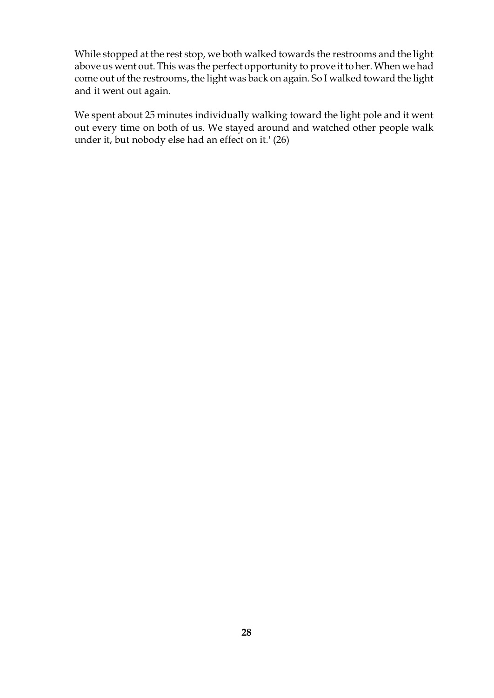While stopped at the rest stop, we both walked towards the restrooms and the light above us went out. This was the perfect opportunity to prove it to her. When we had come out of the restrooms, the light was back on again. So I walked toward the light and it went out again.

We spent about 25 minutes individually walking toward the light pole and it went out every time on both of us. We stayed around and watched other people walk under it, but nobody else had an effect on it.' (26)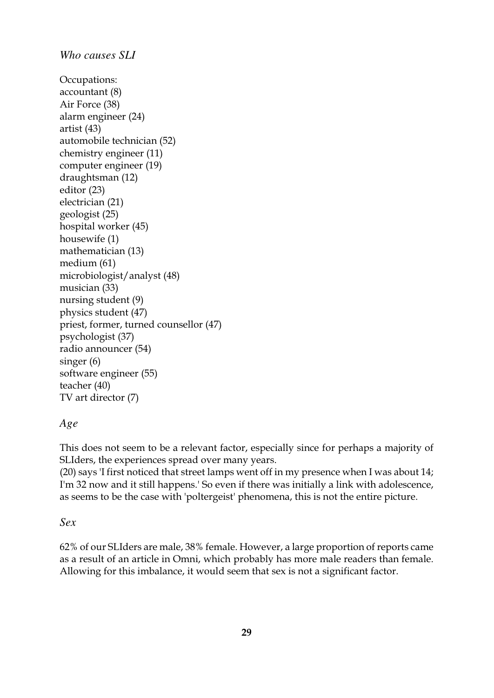```
Who causes SLI
Occupations:
accountant (8)
Air Force (38)
alarm engineer (24)
artist (43)
automobile technician (52)
chemistry engineer (11)
computer engineer (19)
draughtsman (12)
editor (23)
electrician (21)
geologist (25)
hospital worker (45)
housewife (1)
mathematician (13)
medium (61)
microbiologist/analyst (48)
musician (33)
nursing student (9)
physics student (47)
priest, former, turned counsellor (47)
psychologist (37)
radio announcer (54)
singer (6)
software engineer (55)
teacher (40)
TV art director (7)
```
#### *Age*

This does not seem to be a relevant factor, especially since for perhaps a majority of SLIders, the experiences spread over many years.

(20) says 'I first noticed that street lamps went off in my presence when I was about 14; I'm 32 now and it still happens.' So even if there was initially a link with adolescence, as seems to be the case with 'poltergeist' phenomena, this is not the entire picture.

#### *Sex*

62% of our SLIders are male, 38% female. However, a large proportion of reports came as a result of an article in Omni, which probably has more male readers than female. Allowing for this imbalance, it would seem that sex is not a significant factor.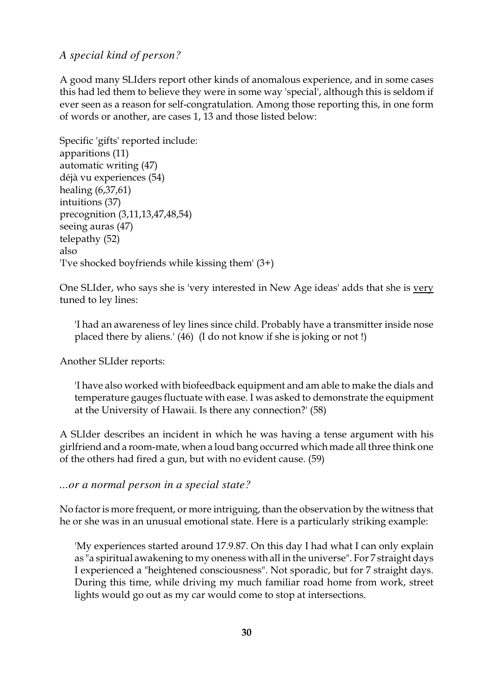#### *A special kind of person?*

A good many SLIders report other kinds of anomalous experience, and in some cases this had led them to believe they were in some way 'special', although this is seldom if ever seen as a reason for self-congratulation. Among those reporting this, in one form of words or another, are cases 1, 13 and those listed below:

Specific 'gifts' reported include: apparitions (11) automatic writing (47) déjà vu experiences (54) healing (6,37,61) intuitions (37) precognition (3,11,13,47,48,54) seeing auras (47) telepathy (52) also 'I've shocked boyfriends while kissing them' (3+)

One SLIder, who says she is 'very interested in New Age ideas' adds that she is very tuned to ley lines:

'I had an awareness of ley lines since child. Probably have a transmitter inside nose placed there by aliens.' (46) (I do not know if she is joking or not !)

Another SLIder reports:

'I have also worked with biofeedback equipment and am able to make the dials and temperature gauges fluctuate with ease. I was asked to demonstrate the equipment at the University of Hawaii. Is there any connection?' (58)

A SLIder describes an incident in which he was having a tense argument with his girlfriend and a room-mate, when a loud bang occurred which made all three think one of the others had fired a gun, but with no evident cause. (59)

*...or a normal person in a special state?*

No factor is more frequent, or more intriguing, than the observation by the witness that he or she was in an unusual emotional state. Here is a particularly striking example:

'My experiences started around 17.9.87. On this day I had what I can only explain as "a spiritual awakening to my oneness with all in the universe". For 7 straight days I experienced a "heightened consciousness". Not sporadic, but for 7 straight days. During this time, while driving my much familiar road home from work, street lights would go out as my car would come to stop at intersections.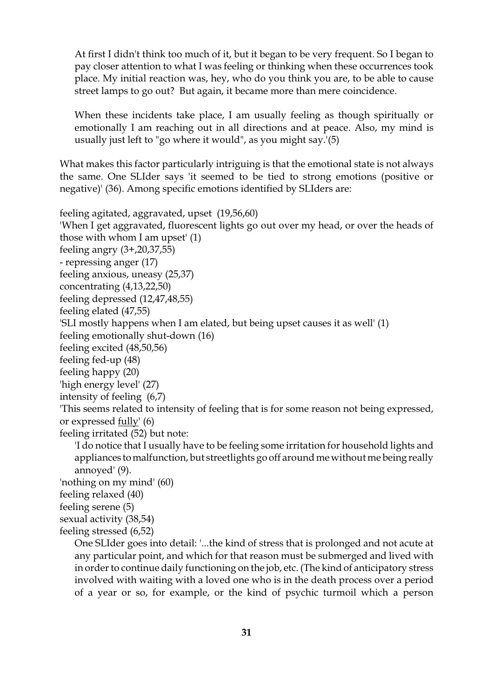At first I didn't think too much of it, but it began to be very frequent. So I began to pay closer attention to what I was feeling or thinking when these occurrences took place. My initial reaction was, hey, who do you think you are, to be able to cause street lamps to go out? But again, it became more than mere coincidence.

When these incidents take place, I am usually feeling as though spiritually or emotionally I am reaching out in all directions and at peace. Also, my mind is usually just left to "go where it would", as you might say.'(5)

What makes this factor particularly intriguing is that the emotional state is not always the same. One SLIder says 'it seemed to be tied to strong emotions (positive or negative)' (36). Among specific emotions identified by SLIders are:

feeling agitated, aggravated, upset (19,56,60) 'When I get aggravated, fluorescent lights go out over my head, or over the heads of those with whom I am upset' (1) feeling angry (3+,20,37,55) - repressing anger (17) feeling anxious, uneasy (25,37) concentrating (4,13,22,50) feeling depressed (12,47,48,55) feeling elated (47,55) 'SLI mostly happens when I am elated, but being upset causes it as well' (1) feeling emotionally shut-down (16) feeling excited (48,50,56) feeling fed-up (48) feeling happy (20) 'high energy level' (27) intensity of feeling (6,7) 'This seems related to intensity of feeling that is for some reason not being expressed, or expressed fully' (6) feeling irritated (52) but note: 'I do notice that I usually have to be feeling some irritation for household lights and appliances to malfunction, but streetlights go off around me without me being really annoyed' (9). 'nothing on my mind' (60) feeling relaxed (40) feeling serene (5) sexual activity (38,54)

feeling stressed (6,52)

One SLIder goes into detail: '...the kind of stress that is prolonged and not acute at any particular point, and which for that reason must be submerged and lived with in order to continue daily functioning on the job, etc. (The kind of anticipatory stress involved with waiting with a loved one who is in the death process over a period of a year or so, for example, or the kind of psychic turmoil which a person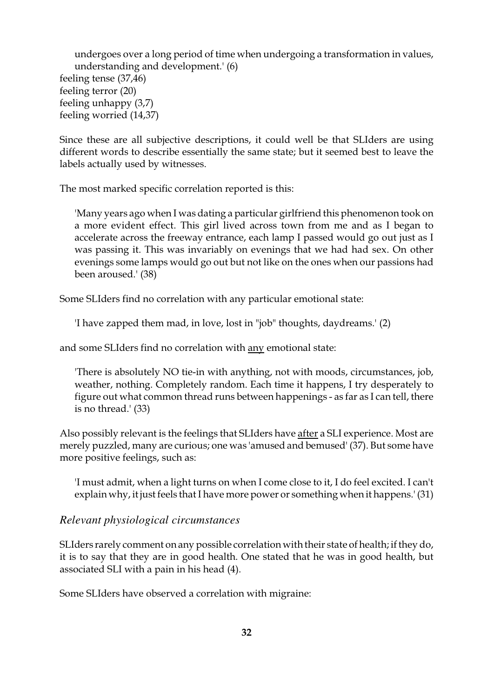undergoes over a long period of time when undergoing a transformation in values, understanding and development.' (6) feeling tense (37,46) feeling terror (20) feeling unhappy (3,7) feeling worried (14,37)

Since these are all subjective descriptions, it could well be that SLIders are using different words to describe essentially the same state; but it seemed best to leave the labels actually used by witnesses.

The most marked specific correlation reported is this:

'Many years ago when I was dating a particular girlfriend this phenomenon took on a more evident effect. This girl lived across town from me and as I began to accelerate across the freeway entrance, each lamp I passed would go out just as I was passing it. This was invariably on evenings that we had had sex. On other evenings some lamps would go out but not like on the ones when our passions had been aroused.' (38)

Some SLIders find no correlation with any particular emotional state:

'I have zapped them mad, in love, lost in "job" thoughts, daydreams.' (2)

and some SLIders find no correlation with <u>any</u> emotional state:

'There is absolutely NO tie-in with anything, not with moods, circumstances, job, weather, nothing. Completely random. Each time it happens, I try desperately to figure out what common thread runs between happenings - as far as I can tell, there is no thread.' (33)

Also possibly relevant is the feelings that SLIders have after a SLI experience. Most are merely puzzled, many are curious; one was 'amused and bemused' (37). But some have more positive feelings, such as:

'I must admit, when a light turns on when I come close to it, I do feel excited. I can't explain why, it just feels that I have more power or something when it happens.' (31)

#### *Relevant physiological circumstances*

SLIders rarely comment on any possible correlation with their state of health; if they do, it is to say that they are in good health. One stated that he was in good health, but associated SLI with a pain in his head (4).

Some SLIders have observed a correlation with migraine: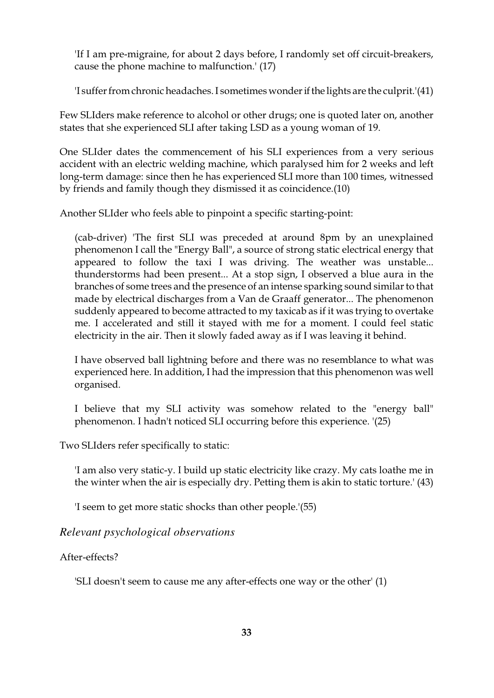'If I am pre-migraine, for about 2 days before, I randomly set off circuit-breakers, cause the phone machine to malfunction.' (17)

'I suffer from chronic headaches. I sometimes wonder if the lights are the culprit.'(41)

Few SLIders make reference to alcohol or other drugs; one is quoted later on, another states that she experienced SLI after taking LSD as a young woman of 19.

One SLIder dates the commencement of his SLI experiences from a very serious accident with an electric welding machine, which paralysed him for 2 weeks and left long-term damage: since then he has experienced SLI more than 100 times, witnessed by friends and family though they dismissed it as coincidence.(10)

Another SLIder who feels able to pinpoint a specific starting-point:

(cab-driver) 'The first SLI was preceded at around 8pm by an unexplained phenomenon I call the "Energy Ball", a source of strong static electrical energy that appeared to follow the taxi I was driving. The weather was unstable... thunderstorms had been present... At a stop sign, I observed a blue aura in the branches of some trees and the presence of an intense sparking sound similar to that made by electrical discharges from a Van de Graaff generator... The phenomenon suddenly appeared to become attracted to my taxicab as if it was trying to overtake me. I accelerated and still it stayed with me for a moment. I could feel static electricity in the air. Then it slowly faded away as if I was leaving it behind.

I have observed ball lightning before and there was no resemblance to what was experienced here. In addition, I had the impression that this phenomenon was well organised.

I believe that my SLI activity was somehow related to the "energy ball" phenomenon. I hadn't noticed SLI occurring before this experience. '(25)

Two SLIders refer specifically to static:

'I am also very static-y. I build up static electricity like crazy. My cats loathe me in the winter when the air is especially dry. Petting them is akin to static torture.' (43)

'I seem to get more static shocks than other people.'(55)

*Relevant psychological observations*

#### After-effects?

'SLI doesn't seem to cause me any after-effects one way or the other' (1)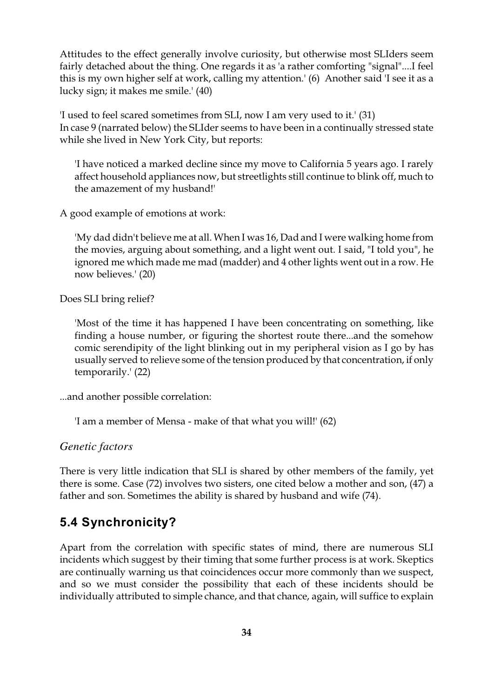Attitudes to the effect generally involve curiosity, but otherwise most SLIders seem fairly detached about the thing. One regards it as 'a rather comforting "signal"....I feel this is my own higher self at work, calling my attention.' (6) Another said 'I see it as a lucky sign; it makes me smile.' (40)

'I used to feel scared sometimes from SLI, now I am very used to it.' (31) In case 9 (narrated below) the SLIder seems to have been in a continually stressed state while she lived in New York City, but reports:

'I have noticed a marked decline since my move to California 5 years ago. I rarely affect household appliances now, but streetlights still continue to blink off, much to the amazement of my husband!'

A good example of emotions at work:

'My dad didn't believe me at all. When I was 16, Dad and I were walking home from the movies, arguing about something, and a light went out. I said, "I told you", he ignored me which made me mad (madder) and 4 other lights went out in a row. He now believes.' (20)

Does SLI bring relief?

'Most of the time it has happened I have been concentrating on something, like finding a house number, or figuring the shortest route there...and the somehow comic serendipity of the light blinking out in my peripheral vision as I go by has usually served to relieve some of the tension produced by that concentration, if only temporarily.' (22)

...and another possible correlation:

'I am a member of Mensa - make of that what you will!' (62)

*Genetic factors*

There is very little indication that SLI is shared by other members of the family, yet there is some. Case (72) involves two sisters, one cited below a mother and son, (47) a father and son. Sometimes the ability is shared by husband and wife (74).

## **5.4 Synchronicity?**

Apart from the correlation with specific states of mind, there are numerous SLI incidents which suggest by their timing that some further process is at work. Skeptics are continually warning us that coincidences occur more commonly than we suspect, and so we must consider the possibility that each of these incidents should be individually attributed to simple chance, and that chance, again, will suffice to explain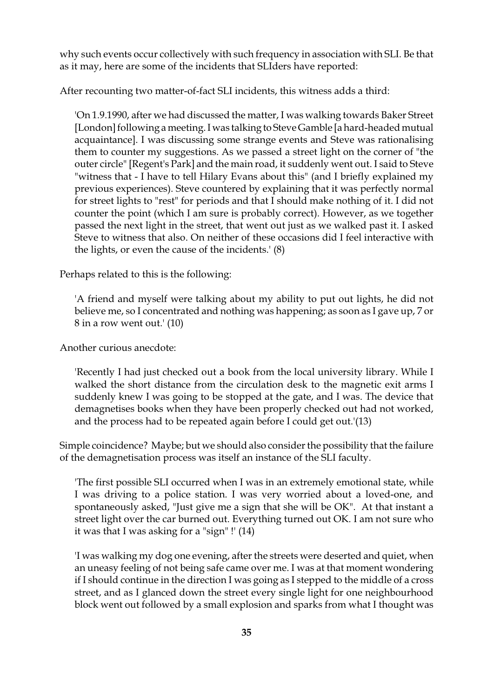why such events occur collectively with such frequency in association with SLI. Be that as it may, here are some of the incidents that SLIders have reported:

After recounting two matter-of-fact SLI incidents, this witness adds a third:

'On 1.9.1990, after we had discussed the matter, I was walking towards Baker Street [London] following a meeting. I was talking to Steve Gamble [a hard-headed mutual acquaintance]. I was discussing some strange events and Steve was rationalising them to counter my suggestions. As we passed a street light on the corner of "the outer circle" [Regent's Park] and the main road, it suddenly went out. I said to Steve "witness that - I have to tell Hilary Evans about this" (and I briefly explained my previous experiences). Steve countered by explaining that it was perfectly normal for street lights to "rest" for periods and that I should make nothing of it. I did not counter the point (which I am sure is probably correct). However, as we together passed the next light in the street, that went out just as we walked past it. I asked Steve to witness that also. On neither of these occasions did I feel interactive with the lights, or even the cause of the incidents.' (8)

Perhaps related to this is the following:

'A friend and myself were talking about my ability to put out lights, he did not believe me, so I concentrated and nothing was happening; as soon as I gave up, 7 or 8 in a row went out.' (10)

Another curious anecdote:

'Recently I had just checked out a book from the local university library. While I walked the short distance from the circulation desk to the magnetic exit arms I suddenly knew I was going to be stopped at the gate, and I was. The device that demagnetises books when they have been properly checked out had not worked, and the process had to be repeated again before I could get out.'(13)

Simple coincidence? Maybe; but we should also consider the possibility that the failure of the demagnetisation process was itself an instance of the SLI faculty.

'The first possible SLI occurred when I was in an extremely emotional state, while I was driving to a police station. I was very worried about a loved-one, and spontaneously asked, "Just give me a sign that she will be OK". At that instant a street light over the car burned out. Everything turned out OK. I am not sure who it was that I was asking for a "sign" !' (14)

'I was walking my dog one evening, after the streets were deserted and quiet, when an uneasy feeling of not being safe came over me. I was at that moment wondering if I should continue in the direction I was going as I stepped to the middle of a cross street, and as I glanced down the street every single light for one neighbourhood block went out followed by a small explosion and sparks from what I thought was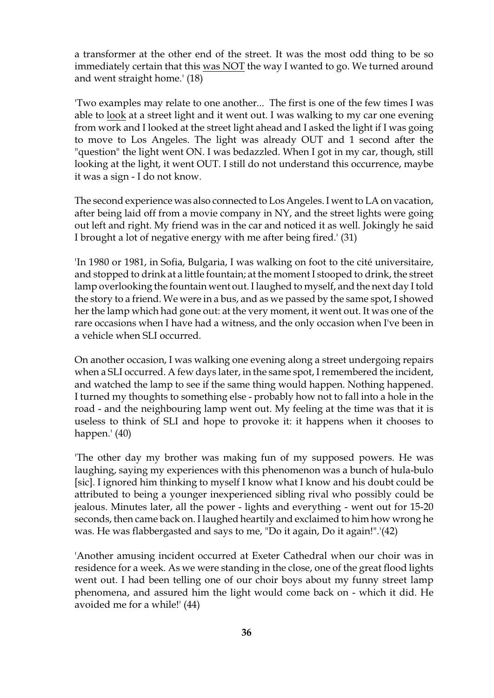a transformer at the other end of the street. It was the most odd thing to be so immediately certain that this was NOT the way I wanted to go. We turned around and went straight home.' (18)

'Two examples may relate to one another... The first is one of the few times I was able to look at a street light and it went out. I was walking to my car one evening from work and I looked at the street light ahead and I asked the light if I was going to move to Los Angeles. The light was already OUT and 1 second after the "question" the light went ON. I was bedazzled. When I got in my car, though, still looking at the light, it went OUT. I still do not understand this occurrence, maybe it was a sign - I do not know.

The second experience was also connected to Los Angeles. I went to LA on vacation, after being laid off from a movie company in NY, and the street lights were going out left and right. My friend was in the car and noticed it as well. Jokingly he said I brought a lot of negative energy with me after being fired.' (31)

'In 1980 or 1981, in Sofia, Bulgaria, I was walking on foot to the cité universitaire, and stopped to drink at a little fountain; at the moment I stooped to drink, the street lamp overlooking the fountain went out. I laughed to myself, and the next day I told the story to a friend. We were in a bus, and as we passed by the same spot, I showed her the lamp which had gone out: at the very moment, it went out. It was one of the rare occasions when I have had a witness, and the only occasion when I've been in a vehicle when SLI occurred.

On another occasion, I was walking one evening along a street undergoing repairs when a SLI occurred. A few days later, in the same spot, I remembered the incident, and watched the lamp to see if the same thing would happen. Nothing happened. I turned my thoughts to something else - probably how not to fall into a hole in the road - and the neighbouring lamp went out. My feeling at the time was that it is useless to think of SLI and hope to provoke it: it happens when it chooses to happen.' (40)

'The other day my brother was making fun of my supposed powers. He was laughing, saying my experiences with this phenomenon was a bunch of hula-bulo [sic]. I ignored him thinking to myself I know what I know and his doubt could be attributed to being a younger inexperienced sibling rival who possibly could be jealous. Minutes later, all the power - lights and everything - went out for 15-20 seconds, then came back on. I laughed heartily and exclaimed to him how wrong he was. He was flabbergasted and says to me, "Do it again, Do it again!".'(42)

'Another amusing incident occurred at Exeter Cathedral when our choir was in residence for a week. As we were standing in the close, one of the great flood lights went out. I had been telling one of our choir boys about my funny street lamp phenomena, and assured him the light would come back on - which it did. He avoided me for a while!' (44)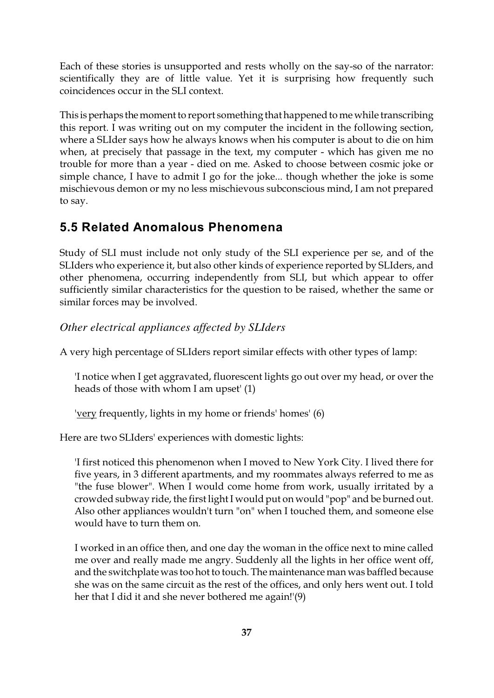Each of these stories is unsupported and rests wholly on the say-so of the narrator: scientifically they are of little value. Yet it is surprising how frequently such coincidences occur in the SLI context.

This is perhaps the moment to report something that happened to me while transcribing this report. I was writing out on my computer the incident in the following section, where a SLIder says how he always knows when his computer is about to die on him when, at precisely that passage in the text, my computer - which has given me no trouble for more than a year - died on me. Asked to choose between cosmic joke or simple chance, I have to admit I go for the joke... though whether the joke is some mischievous demon or my no less mischievous subconscious mind, I am not prepared to say.

## **5.5 Related Anomalous Phenomena**

Study of SLI must include not only study of the SLI experience per se, and of the SLIders who experience it, but also other kinds of experience reported by SLIders, and other phenomena, occurring independently from SLI, but which appear to offer sufficiently similar characteristics for the question to be raised, whether the same or similar forces may be involved.

#### *Other electrical appliances affected by SLIders*

A very high percentage of SLIders report similar effects with other types of lamp:

'I notice when I get aggravated, fluorescent lights go out over my head, or over the heads of those with whom I am upset' (1)

'very frequently, lights in my home or friends' homes' (6)

Here are two SLIders' experiences with domestic lights:

'I first noticed this phenomenon when I moved to New York City. I lived there for five years, in 3 different apartments, and my roommates always referred to me as "the fuse blower". When I would come home from work, usually irritated by a crowded subway ride, the first light I would put on would "pop" and be burned out. Also other appliances wouldn't turn "on" when I touched them, and someone else would have to turn them on.

I worked in an office then, and one day the woman in the office next to mine called me over and really made me angry. Suddenly all the lights in her office went off, and the switchplate was too hot to touch. The maintenance man was baffled because she was on the same circuit as the rest of the offices, and only hers went out. I told her that I did it and she never bothered me again!'(9)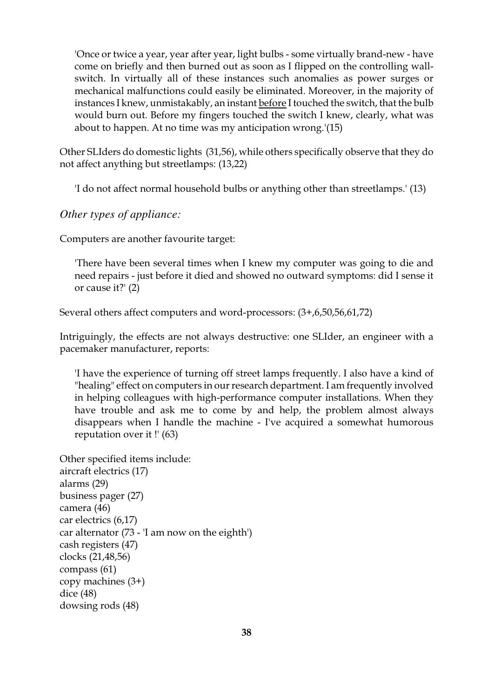'Once or twice a year, year after year, light bulbs - some virtually brand-new - have come on briefly and then burned out as soon as I flipped on the controlling wallswitch. In virtually all of these instances such anomalies as power surges or mechanical malfunctions could easily be eliminated. Moreover, in the majority of instances I knew, unmistakably, an instant before I touched the switch, that the bulb would burn out. Before my fingers touched the switch I knew, clearly, what was about to happen. At no time was my anticipation wrong.'(15)

Other SLIders do domestic lights (31,56), while others specifically observe that they do not affect anything but streetlamps: (13,22)

'I do not affect normal household bulbs or anything other than streetlamps.' (13)

*Other types of appliance:*

Computers are another favourite target:

'There have been several times when I knew my computer was going to die and need repairs - just before it died and showed no outward symptoms: did I sense it or cause it?' (2)

Several others affect computers and word-processors: (3+,6,50,56,61,72)

Intriguingly, the effects are not always destructive: one SLIder, an engineer with a pacemaker manufacturer, reports:

'I have the experience of turning off street lamps frequently. I also have a kind of "healing" effect on computers in our research department. I am frequently involved in helping colleagues with high-performance computer installations. When they have trouble and ask me to come by and help, the problem almost always disappears when I handle the machine - I've acquired a somewhat humorous reputation over it !' (63)

Other specified items include: aircraft electrics (17) alarms (29) business pager (27) camera (46) car electrics (6,17) car alternator (73 - 'I am now on the eighth') cash registers (47) clocks (21,48,56) compass (61) copy machines (3+) dice (48) dowsing rods (48)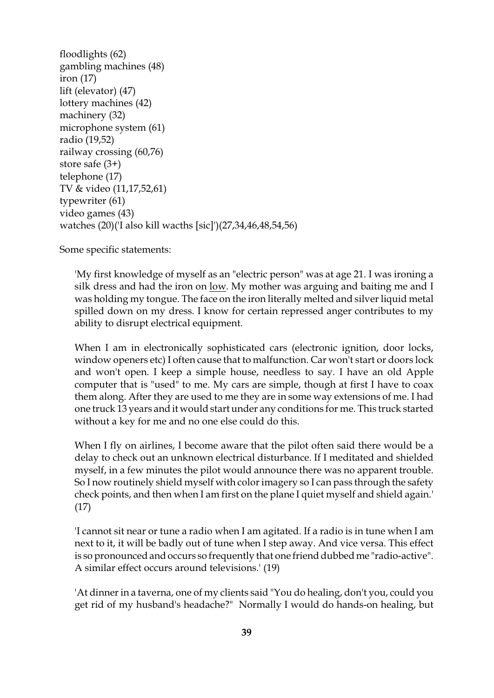floodlights (62) gambling machines (48) iron (17) lift (elevator) (47) lottery machines (42) machinery (32) microphone system (61) radio (19,52) railway crossing (60,76) store safe (3+) telephone (17) TV & video (11,17,52,61) typewriter (61) video games (43) watches (20)('I also kill wacths [sic]')(27,34,46,48,54,56)

Some specific statements:

'My first knowledge of myself as an "electric person" was at age 21. I was ironing a silk dress and had the iron on low. My mother was arguing and baiting me and I was holding my tongue. The face on the iron literally melted and silver liquid metal spilled down on my dress. I know for certain repressed anger contributes to my ability to disrupt electrical equipment.

When I am in electronically sophisticated cars (electronic ignition, door locks, window openers etc) I often cause that to malfunction. Car won't start or doors lock and won't open. I keep a simple house, needless to say. I have an old Apple computer that is "used" to me. My cars are simple, though at first I have to coax them along. After they are used to me they are in some way extensions of me. I had one truck 13 years and it would start under any conditions for me. This truck started without a key for me and no one else could do this.

When I fly on airlines, I become aware that the pilot often said there would be a delay to check out an unknown electrical disturbance. If I meditated and shielded myself, in a few minutes the pilot would announce there was no apparent trouble. So I now routinely shield myself with color imagery so I can pass through the safety check points, and then when I am first on the plane I quiet myself and shield again.' (17)

'I cannot sit near or tune a radio when I am agitated. If a radio is in tune when I am next to it, it will be badly out of tune when I step away. And vice versa. This effect is so pronounced and occurs so frequently that one friend dubbed me "radio-active". A similar effect occurs around televisions.' (19)

'At dinner in a taverna, one of my clients said "You do healing, don't you, could you get rid of my husband's headache?" Normally I would do hands-on healing, but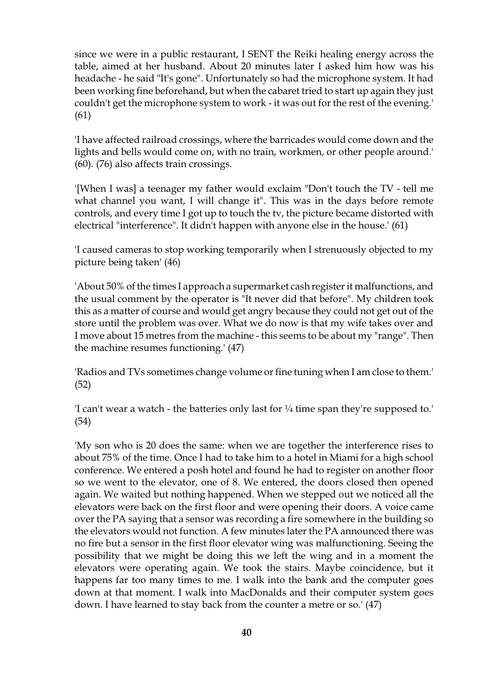since we were in a public restaurant, I SENT the Reiki healing energy across the table, aimed at her husband. About 20 minutes later I asked him how was his headache - he said "It's gone". Unfortunately so had the microphone system. It had been working fine beforehand, but when the cabaret tried to start up again they just couldn't get the microphone system to work - it was out for the rest of the evening.' (61)

'I have affected railroad crossings, where the barricades would come down and the lights and bells would come on, with no train, workmen, or other people around.' (60). (76) also affects train crossings.

'[When I was] a teenager my father would exclaim "Don't touch the TV - tell me what channel you want, I will change it". This was in the days before remote controls, and every time I got up to touch the tv, the picture became distorted with electrical "interference". It didn't happen with anyone else in the house.' (61)

'I caused cameras to stop working temporarily when I strenuously objected to my picture being taken' (46)

'About 50% of the times I approach a supermarket cash register it malfunctions, and the usual comment by the operator is "It never did that before". My children took this as a matter of course and would get angry because they could not get out of the store until the problem was over. What we do now is that my wife takes over and I move about 15 metres from the machine - this seems to be about my "range". Then the machine resumes functioning.' (47)

'Radios and TVs sometimes change volume or fine tuning when I am close to them.' (52)

'I can't wear a watch - the batteries only last for ¼ time span they're supposed to.' (54)

'My son who is 20 does the same: when we are together the interference rises to about 75% of the time. Once I had to take him to a hotel in Miami for a high school conference. We entered a posh hotel and found he had to register on another floor so we went to the elevator, one of 8. We entered, the doors closed then opened again. We waited but nothing happened. When we stepped out we noticed all the elevators were back on the first floor and were opening their doors. A voice came over the PA saying that a sensor was recording a fire somewhere in the building so the elevators would not function. A few minutes later the PA announced there was no fire but a sensor in the first floor elevator wing was malfunctioning. Seeing the possibility that we might be doing this we left the wing and in a moment the elevators were operating again. We took the stairs. Maybe coincidence, but it happens far too many times to me. I walk into the bank and the computer goes down at that moment. I walk into MacDonalds and their computer system goes down. I have learned to stay back from the counter a metre or so.' (47)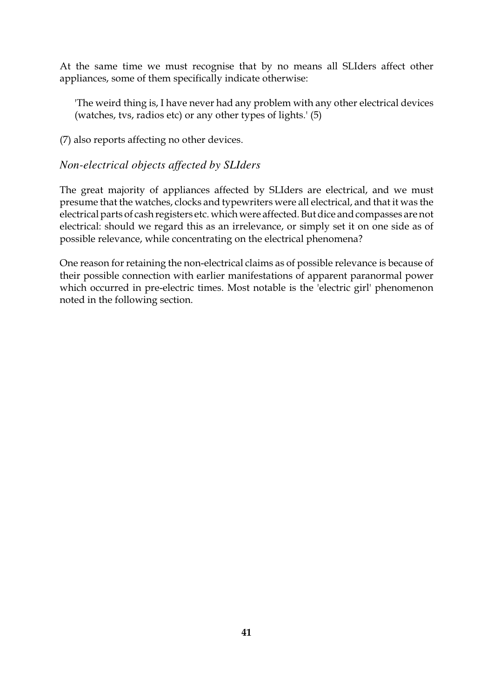At the same time we must recognise that by no means all SLIders affect other appliances, some of them specifically indicate otherwise:

'The weird thing is, I have never had any problem with any other electrical devices (watches, tvs, radios etc) or any other types of lights.' (5)

(7) also reports affecting no other devices.

#### *Non-electrical objects affected by SLIders*

The great majority of appliances affected by SLIders are electrical, and we must presume that the watches, clocks and typewriters were all electrical, and that it was the electrical parts of cash registers etc. which were affected. But dice and compasses are not electrical: should we regard this as an irrelevance, or simply set it on one side as of possible relevance, while concentrating on the electrical phenomena?

One reason for retaining the non-electrical claims as of possible relevance is because of their possible connection with earlier manifestations of apparent paranormal power which occurred in pre-electric times. Most notable is the 'electric girl' phenomenon noted in the following section.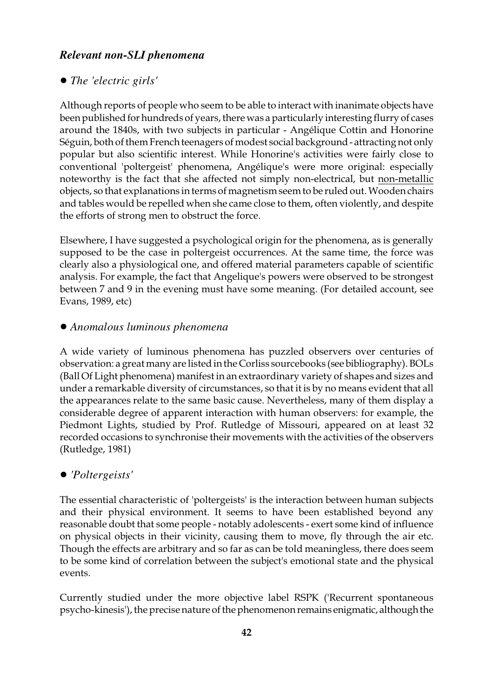### *Relevant non-SLI phenomena*

#### ! *The 'electric girls'*

Although reports of people who seem to be able to interact with inanimate objects have been published for hundreds of years, there was a particularly interesting flurry of cases around the 1840s, with two subjects in particular - Angélique Cottin and Honorine Séguin, both of them French teenagers of modest social background - attracting not only popular but also scientific interest. While Honorine's activities were fairly close to conventional 'poltergeist' phenomena, Angélique's were more original: especially noteworthy is the fact that she affected not simply non-electrical, but non-metallic objects, so that explanations in terms of magnetism seem to be ruled out. Wooden chairs and tables would be repelled when she came close to them, often violently, and despite the efforts of strong men to obstruct the force.

Elsewhere, I have suggested a psychological origin for the phenomena, as is generally supposed to be the case in poltergeist occurrences. At the same time, the force was clearly also a physiological one, and offered material parameters capable of scientific analysis. For example, the fact that Angelique's powers were observed to be strongest between 7 and 9 in the evening must have some meaning. (For detailed account, see Evans, 1989, etc)

#### ! *Anomalous luminous phenomena*

A wide variety of luminous phenomena has puzzled observers over centuries of observation: a great many are listed in the Corliss sourcebooks (see bibliography). BOLs (Ball Of Light phenomena) manifest in an extraordinary variety of shapes and sizes and under a remarkable diversity of circumstances, so that it is by no means evident that all the appearances relate to the same basic cause. Nevertheless, many of them display a considerable degree of apparent interaction with human observers: for example, the Piedmont Lights, studied by Prof. Rutledge of Missouri, appeared on at least 32 recorded occasions to synchronise their movements with the activities of the observers (Rutledge, 1981)

#### ! *'Poltergeists'*

The essential characteristic of 'poltergeists' is the interaction between human subjects and their physical environment. It seems to have been established beyond any reasonable doubt that some people - notably adolescents - exert some kind of influence on physical objects in their vicinity, causing them to move, fly through the air etc. Though the effects are arbitrary and so far as can be told meaningless, there does seem to be some kind of correlation between the subject's emotional state and the physical events.

Currently studied under the more objective label RSPK ('Recurrent spontaneous psycho-kinesis'), the precise nature of the phenomenon remains enigmatic, although the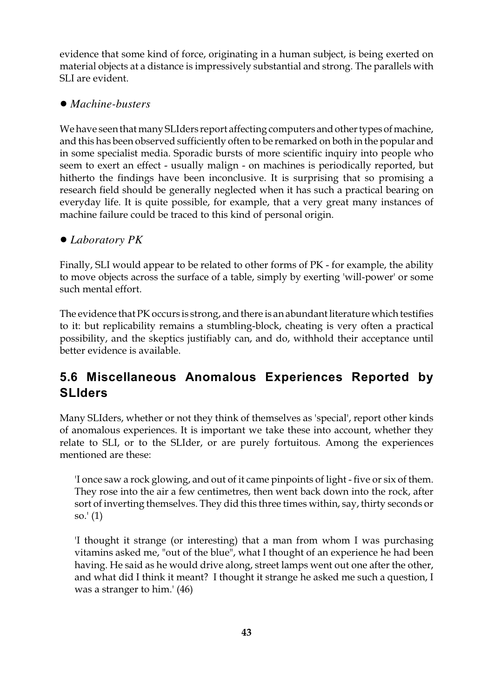evidence that some kind of force, originating in a human subject, is being exerted on material objects at a distance is impressively substantial and strong. The parallels with SLI are evident.

### ! *Machine-busters*

We have seen that many SLIders report affecting computers and other types of machine, and this has been observed sufficiently often to be remarked on both in the popular and in some specialist media. Sporadic bursts of more scientific inquiry into people who seem to exert an effect - usually malign - on machines is periodically reported, but hitherto the findings have been inconclusive. It is surprising that so promising a research field should be generally neglected when it has such a practical bearing on everyday life. It is quite possible, for example, that a very great many instances of machine failure could be traced to this kind of personal origin.

### ! *Laboratory PK*

Finally, SLI would appear to be related to other forms of PK - for example, the ability to move objects across the surface of a table, simply by exerting 'will-power' or some such mental effort.

The evidence that PK occurs is strong, and there is an abundant literature which testifies to it: but replicability remains a stumbling-block, cheating is very often a practical possibility, and the skeptics justifiably can, and do, withhold their acceptance until better evidence is available.

# **5.6 Miscellaneous Anomalous Experiences Reported by SLIders**

Many SLIders, whether or not they think of themselves as 'special', report other kinds of anomalous experiences. It is important we take these into account, whether they relate to SLI, or to the SLIder, or are purely fortuitous. Among the experiences mentioned are these:

'I once saw a rock glowing, and out of it came pinpoints of light - five or six of them. They rose into the air a few centimetres, then went back down into the rock, after sort of inverting themselves. They did this three times within, say, thirty seconds or so.' (1)

'I thought it strange (or interesting) that a man from whom I was purchasing vitamins asked me, "out of the blue", what I thought of an experience he had been having. He said as he would drive along, street lamps went out one after the other, and what did I think it meant? I thought it strange he asked me such a question, I was a stranger to him.' (46)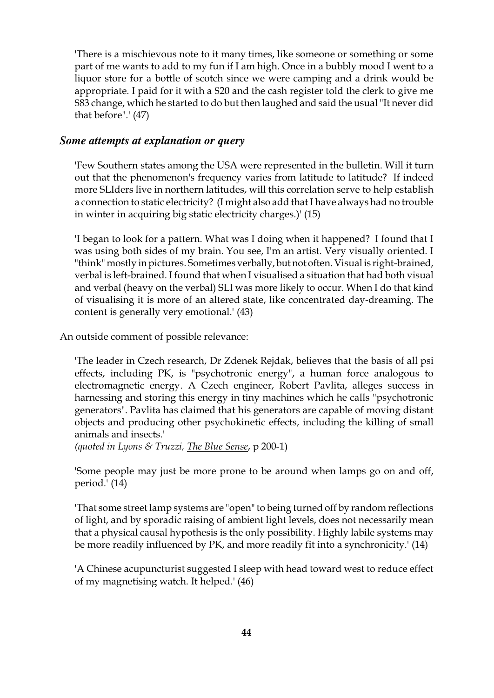'There is a mischievous note to it many times, like someone or something or some part of me wants to add to my fun if I am high. Once in a bubbly mood I went to a liquor store for a bottle of scotch since we were camping and a drink would be appropriate. I paid for it with a \$20 and the cash register told the clerk to give me \$83 change, which he started to do but then laughed and said the usual "It never did that before".' (47)

#### *Some attempts at explanation or query*

'Few Southern states among the USA were represented in the bulletin. Will it turn out that the phenomenon's frequency varies from latitude to latitude? If indeed more SLIders live in northern latitudes, will this correlation serve to help establish a connection to static electricity? (I might also add that I have always had no trouble in winter in acquiring big static electricity charges.)' (15)

'I began to look for a pattern. What was I doing when it happened? I found that I was using both sides of my brain. You see, I'm an artist. Very visually oriented. I "think" mostly in pictures. Sometimes verbally, but not often. Visual is right-brained, verbal is left-brained. I found that when I visualised a situation that had both visual and verbal (heavy on the verbal) SLI was more likely to occur. When I do that kind of visualising it is more of an altered state, like concentrated day-dreaming. The content is generally very emotional.' (43)

An outside comment of possible relevance:

'The leader in Czech research, Dr Zdenek Rejdak, believes that the basis of all psi effects, including PK, is "psychotronic energy", a human force analogous to electromagnetic energy. A Czech engineer, Robert Pavlita, alleges success in harnessing and storing this energy in tiny machines which he calls "psychotronic generators". Pavlita has claimed that his generators are capable of moving distant objects and producing other psychokinetic effects, including the killing of small animals and insects.'

*(quoted in Lyons & Truzzi, The Blue Sense*, p 200-1)

'Some people may just be more prone to be around when lamps go on and off, period.' (14)

'That some street lamp systems are "open" to being turned off by random reflections of light, and by sporadic raising of ambient light levels, does not necessarily mean that a physical causal hypothesis is the only possibility. Highly labile systems may be more readily influenced by PK, and more readily fit into a synchronicity.' (14)

'A Chinese acupuncturist suggested I sleep with head toward west to reduce effect of my magnetising watch. It helped.' (46)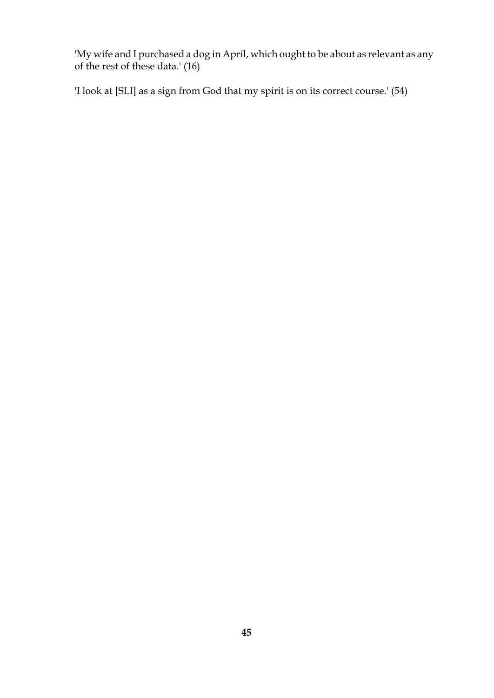'My wife and I purchased a dog in April, which ought to be about as relevant as any of the rest of these data.' (16)

'I look at [SLI] as a sign from God that my spirit is on its correct course.' (54)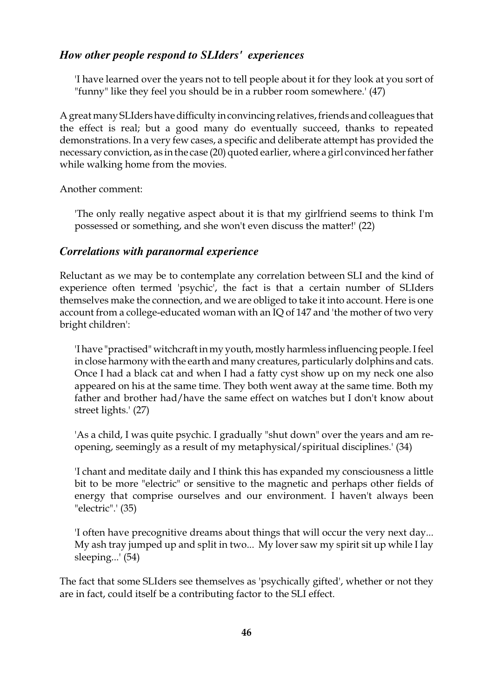#### *How other people respond to SLIders' experiences*

'I have learned over the years not to tell people about it for they look at you sort of "funny" like they feel you should be in a rubber room somewhere.' (47)

A great many SLIders have difficulty in convincing relatives, friends and colleagues that the effect is real; but a good many do eventually succeed, thanks to repeated demonstrations. In a very few cases, a specific and deliberate attempt has provided the necessary conviction, as in the case (20) quoted earlier, where a girl convinced her father while walking home from the movies.

Another comment:

'The only really negative aspect about it is that my girlfriend seems to think I'm possessed or something, and she won't even discuss the matter!' (22)

#### *Correlations with paranormal experience*

Reluctant as we may be to contemplate any correlation between SLI and the kind of experience often termed 'psychic', the fact is that a certain number of SLIders themselves make the connection, and we are obliged to take it into account. Here is one account from a college-educated woman with an IQ of 147 and 'the mother of two very bright children':

'I have "practised" witchcraft in my youth, mostly harmless influencing people. I feel in close harmony with the earth and many creatures, particularly dolphins and cats. Once I had a black cat and when I had a fatty cyst show up on my neck one also appeared on his at the same time. They both went away at the same time. Both my father and brother had/have the same effect on watches but I don't know about street lights.' (27)

'As a child, I was quite psychic. I gradually "shut down" over the years and am reopening, seemingly as a result of my metaphysical/spiritual disciplines.' (34)

'I chant and meditate daily and I think this has expanded my consciousness a little bit to be more "electric" or sensitive to the magnetic and perhaps other fields of energy that comprise ourselves and our environment. I haven't always been "electric".' (35)

'I often have precognitive dreams about things that will occur the very next day... My ash tray jumped up and split in two... My lover saw my spirit sit up while I lay sleeping...' (54)

The fact that some SLIders see themselves as 'psychically gifted', whether or not they are in fact, could itself be a contributing factor to the SLI effect.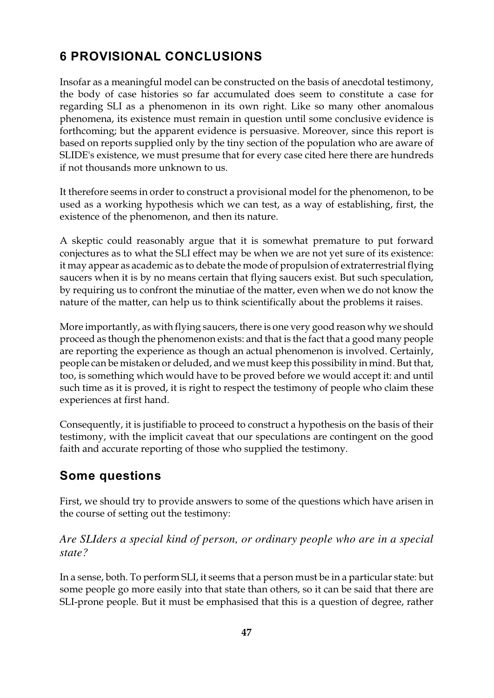# **6 PROVISIONAL CONCLUSIONS**

Insofar as a meaningful model can be constructed on the basis of anecdotal testimony, the body of case histories so far accumulated does seem to constitute a case for regarding SLI as a phenomenon in its own right. Like so many other anomalous phenomena, its existence must remain in question until some conclusive evidence is forthcoming; but the apparent evidence is persuasive. Moreover, since this report is based on reports supplied only by the tiny section of the population who are aware of SLIDE's existence, we must presume that for every case cited here there are hundreds if not thousands more unknown to us.

It therefore seems in order to construct a provisional model for the phenomenon, to be used as a working hypothesis which we can test, as a way of establishing, first, the existence of the phenomenon, and then its nature.

A skeptic could reasonably argue that it is somewhat premature to put forward conjectures as to what the SLI effect may be when we are not yet sure of its existence: it may appear as academic as to debate the mode of propulsion of extraterrestrial flying saucers when it is by no means certain that flying saucers exist. But such speculation, by requiring us to confront the minutiae of the matter, even when we do not know the nature of the matter, can help us to think scientifically about the problems it raises.

More importantly, as with flying saucers, there is one very good reason why we should proceed as though the phenomenon exists: and that is the fact that a good many people are reporting the experience as though an actual phenomenon is involved. Certainly, people can be mistaken or deluded, and we must keep this possibility in mind. But that, too, is something which would have to be proved before we would accept it: and until such time as it is proved, it is right to respect the testimony of people who claim these experiences at first hand.

Consequently, it is justifiable to proceed to construct a hypothesis on the basis of their testimony, with the implicit caveat that our speculations are contingent on the good faith and accurate reporting of those who supplied the testimony.

# **Some questions**

First, we should try to provide answers to some of the questions which have arisen in the course of setting out the testimony:

#### *Are SLIders a special kind of person, or ordinary people who are in a special state?*

In a sense, both. To perform SLI, it seems that a person must be in a particular state: but some people go more easily into that state than others, so it can be said that there are SLI-prone people. But it must be emphasised that this is a question of degree, rather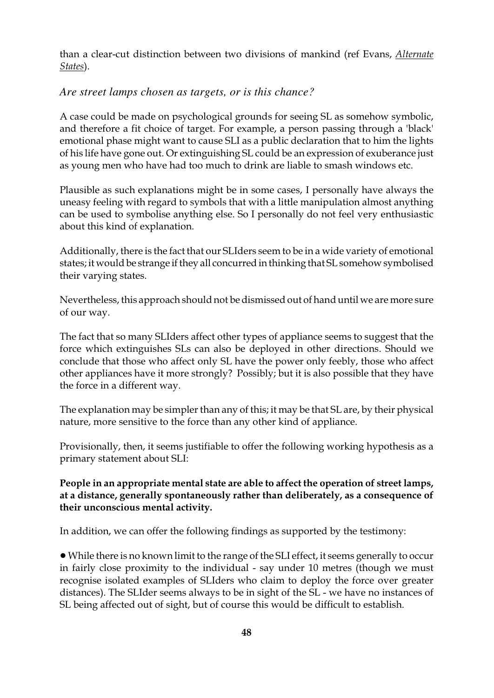than a clear-cut distinction between two divisions of mankind (ref Evans, *Alternate States*).

#### *Are street lamps chosen as targets, or is this chance?*

A case could be made on psychological grounds for seeing SL as somehow symbolic, and therefore a fit choice of target. For example, a person passing through a 'black' emotional phase might want to cause SLI as a public declaration that to him the lights of his life have gone out. Or extinguishing SL could be an expression of exuberance just as young men who have had too much to drink are liable to smash windows etc.

Plausible as such explanations might be in some cases, I personally have always the uneasy feeling with regard to symbols that with a little manipulation almost anything can be used to symbolise anything else. So I personally do not feel very enthusiastic about this kind of explanation.

Additionally, there is the fact that our SLIders seem to be in a wide variety of emotional states; it would be strange if they all concurred in thinking that SL somehow symbolised their varying states.

Nevertheless, this approach should not be dismissed out of hand until we are more sure of our way.

The fact that so many SLIders affect other types of appliance seems to suggest that the force which extinguishes SLs can also be deployed in other directions. Should we conclude that those who affect only SL have the power only feebly, those who affect other appliances have it more strongly? Possibly; but it is also possible that they have the force in a different way.

The explanation may be simpler than any of this; it may be that SL are, by their physical nature, more sensitive to the force than any other kind of appliance.

Provisionally, then, it seems justifiable to offer the following working hypothesis as a primary statement about SLI:

#### **People in an appropriate mental state are able to affect the operation of street lamps, at a distance, generally spontaneously rather than deliberately, as a consequence of their unconscious mental activity.**

In addition, we can offer the following findings as supported by the testimony:

! While there is no known limit to the range of the SLI effect, it seems generally to occur in fairly close proximity to the individual - say under 10 metres (though we must recognise isolated examples of SLIders who claim to deploy the force over greater distances). The SLIder seems always to be in sight of the SL - we have no instances of SL being affected out of sight, but of course this would be difficult to establish.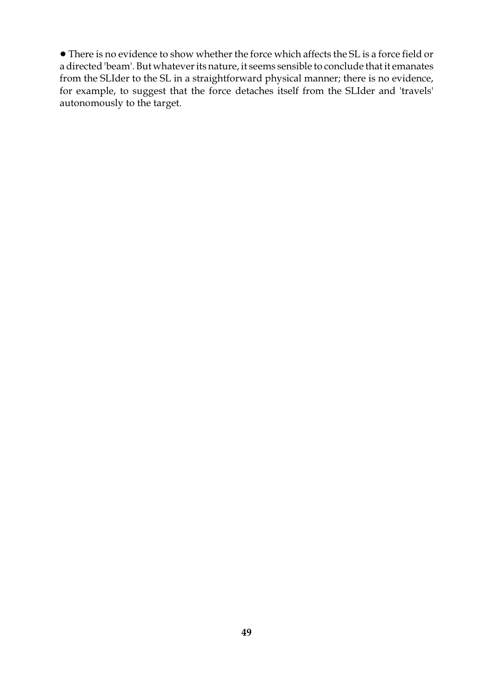• There is no evidence to show whether the force which affects the SL is a force field or a directed 'beam'. But whatever its nature, it seems sensible to conclude that it emanates from the SLIder to the SL in a straightforward physical manner; there is no evidence, for example, to suggest that the force detaches itself from the SLIder and 'travels' autonomously to the target.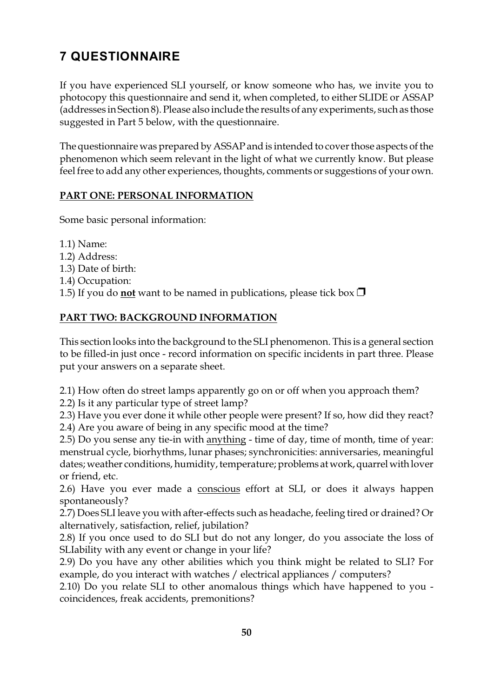# **7 QUESTIONNAIRE**

If you have experienced SLI yourself, or know someone who has, we invite you to photocopy this questionnaire and send it, when completed, to either SLIDE or ASSAP (addresses in Section 8). Please also include the results of any experiments, such as those suggested in Part 5 below, with the questionnaire.

The questionnaire was prepared by ASSAP and is intended to cover those aspects of the phenomenon which seem relevant in the light of what we currently know. But please feel free to add any other experiences, thoughts, comments or suggestions of your own.

### **PART ONE: PERSONAL INFORMATION**

Some basic personal information:

- 1.1) Name:
- 1.2) Address:
- 1.3) Date of birth:
- 1.4) Occupation:
- 1.5) If you do **not** want to be named in publications, please tick box  $\Box$

# **PART TWO: BACKGROUND INFORMATION**

This section looks into the background to the SLI phenomenon. This is a general section to be filled-in just once - record information on specific incidents in part three. Please put your answers on a separate sheet.

2.1) How often do street lamps apparently go on or off when you approach them?

2.2) Is it any particular type of street lamp?

2.3) Have you ever done it while other people were present? If so, how did they react? 2.4) Are you aware of being in any specific mood at the time?

2.5) Do you sense any tie-in with anything - time of day, time of month, time of year: menstrual cycle, biorhythms, lunar phases; synchronicities: anniversaries, meaningful dates; weather conditions, humidity, temperature; problems at work, quarrel with lover or friend, etc.

2.6) Have you ever made a conscious effort at SLI, or does it always happen spontaneously?

2.7) Does SLI leave you with after-effects such as headache, feeling tired or drained? Or alternatively, satisfaction, relief, jubilation?

2.8) If you once used to do SLI but do not any longer, do you associate the loss of SLIability with any event or change in your life?

2.9) Do you have any other abilities which you think might be related to SLI? For example, do you interact with watches / electrical appliances / computers?

2.10) Do you relate SLI to other anomalous things which have happened to you coincidences, freak accidents, premonitions?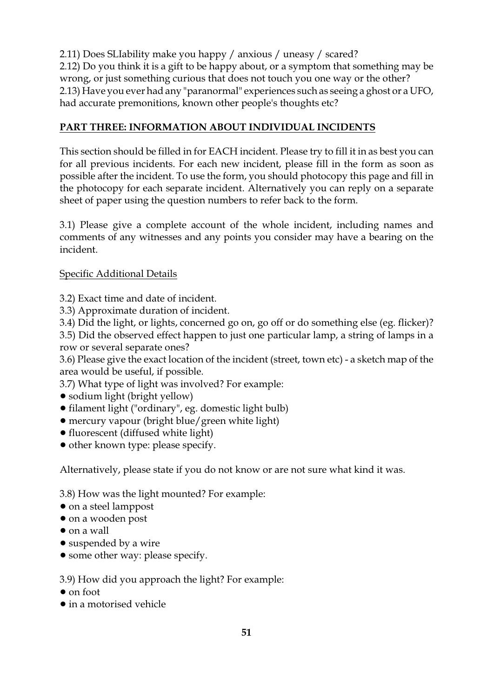2.11) Does SLIability make you happy / anxious / uneasy / scared?

2.12) Do you think it is a gift to be happy about, or a symptom that something may be wrong, or just something curious that does not touch you one way or the other? 2.13) Have you ever had any "paranormal" experiences such as seeing a ghost or a UFO, had accurate premonitions, known other people's thoughts etc?

## **PART THREE: INFORMATION ABOUT INDIVIDUAL INCIDENTS**

This section should be filled in for EACH incident. Please try to fill it in as best you can for all previous incidents. For each new incident, please fill in the form as soon as possible after the incident. To use the form, you should photocopy this page and fill in the photocopy for each separate incident. Alternatively you can reply on a separate sheet of paper using the question numbers to refer back to the form.

3.1) Please give a complete account of the whole incident, including names and comments of any witnesses and any points you consider may have a bearing on the incident.

### Specific Additional Details

3.2) Exact time and date of incident.

- 3.3) Approximate duration of incident.
- 3.4) Did the light, or lights, concerned go on, go off or do something else (eg. flicker)?

3.5) Did the observed effect happen to just one particular lamp, a string of lamps in a row or several separate ones?

3.6) Please give the exact location of the incident (street, town etc) - a sketch map of the area would be useful, if possible.

3.7) What type of light was involved? For example:

- sodium light (bright yellow)
- ! filament light ("ordinary", eg. domestic light bulb)
- ! mercury vapour (bright blue/green white light)
- fluorescent (diffused white light)
- other known type: please specify.

Alternatively, please state if you do not know or are not sure what kind it was.

3.8) How was the light mounted? For example:

- $\bullet$  on a steel lamppost
- on a wooden post
- $\bullet$  on a wall
- suspended by a wire
- some other way: please specify.

3.9) How did you approach the light? For example:

- on foot
- in a motorised vehicle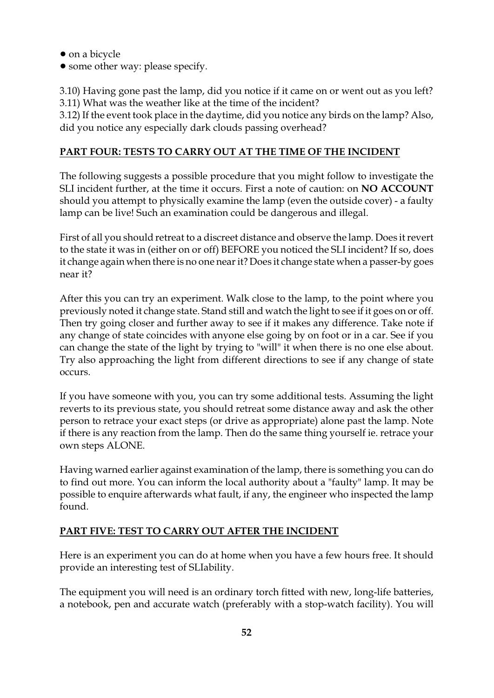- on a bicycle
- some other way: please specify.

3.10) Having gone past the lamp, did you notice if it came on or went out as you left? 3.11) What was the weather like at the time of the incident?

3.12) If the event took place in the daytime, did you notice any birds on the lamp? Also, did you notice any especially dark clouds passing overhead?

#### **PART FOUR: TESTS TO CARRY OUT AT THE TIME OF THE INCIDENT**

The following suggests a possible procedure that you might follow to investigate the SLI incident further, at the time it occurs. First a note of caution: on **NO ACCOUNT** should you attempt to physically examine the lamp (even the outside cover) - a faulty lamp can be live! Such an examination could be dangerous and illegal.

First of all you should retreat to a discreet distance and observe the lamp. Does it revert to the state it was in (either on or off) BEFORE you noticed the SLI incident? If so, does it change again when there is no one near it?Does it change state when a passer-by goes near it?

After this you can try an experiment. Walk close to the lamp, to the point where you previously noted it change state. Stand still and watch the light to see if it goes on or off. Then try going closer and further away to see if it makes any difference. Take note if any change of state coincides with anyone else going by on foot or in a car. See if you can change the state of the light by trying to "will" it when there is no one else about. Try also approaching the light from different directions to see if any change of state occurs.

If you have someone with you, you can try some additional tests. Assuming the light reverts to its previous state, you should retreat some distance away and ask the other person to retrace your exact steps (or drive as appropriate) alone past the lamp. Note if there is any reaction from the lamp. Then do the same thing yourself ie. retrace your own steps ALONE.

Having warned earlier against examination of the lamp, there is something you can do to find out more. You can inform the local authority about a "faulty" lamp. It may be possible to enquire afterwards what fault, if any, the engineer who inspected the lamp found.

#### **PART FIVE: TEST TO CARRY OUT AFTER THE INCIDENT**

Here is an experiment you can do at home when you have a few hours free. It should provide an interesting test of SLIability.

The equipment you will need is an ordinary torch fitted with new, long-life batteries, a notebook, pen and accurate watch (preferably with a stop-watch facility). You will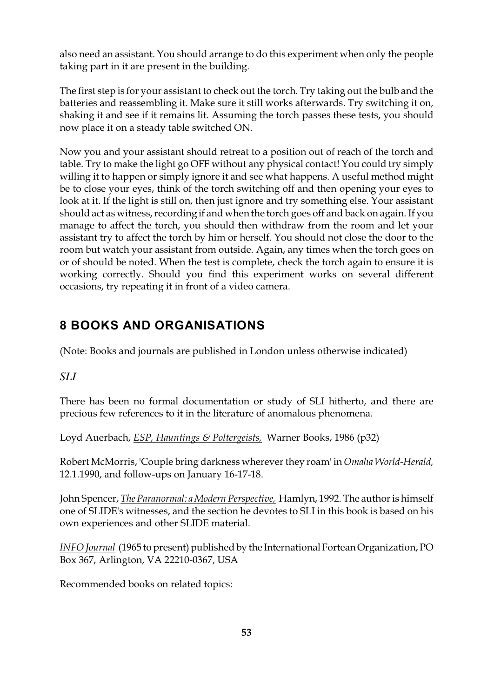also need an assistant. You should arrange to do this experiment when only the people taking part in it are present in the building.

The first step is for your assistant to check out the torch. Try taking out the bulb and the batteries and reassembling it. Make sure it still works afterwards. Try switching it on, shaking it and see if it remains lit. Assuming the torch passes these tests, you should now place it on a steady table switched ON.

Now you and your assistant should retreat to a position out of reach of the torch and table. Try to make the light go OFF without any physical contact! You could try simply willing it to happen or simply ignore it and see what happens. A useful method might be to close your eyes, think of the torch switching off and then opening your eyes to look at it. If the light is still on, then just ignore and try something else. Your assistant should act as witness, recording if and when the torch goes off and back on again. If you manage to affect the torch, you should then withdraw from the room and let your assistant try to affect the torch by him or herself. You should not close the door to the room but watch your assistant from outside. Again, any times when the torch goes on or of should be noted. When the test is complete, check the torch again to ensure it is working correctly. Should you find this experiment works on several different occasions, try repeating it in front of a video camera.

# **8 BOOKS AND ORGANISATIONS**

(Note: Books and journals are published in London unless otherwise indicated)

*SLI*

There has been no formal documentation or study of SLI hitherto, and there are precious few references to it in the literature of anomalous phenomena.

Loyd Auerbach, *ESP, Hauntings & Poltergeists,* Warner Books, 1986 (p32)

Robert McMorris, 'Couple bring darkness wherever they roam' in *Omaha World-Herald,* 12.1.1990, and follow-ups on January 16-17-18.

John Spencer, *The Paranormal: a Modern Perspective,* Hamlyn, 1992. The author is himself one of SLIDE's witnesses, and the section he devotes to SLI in this book is based on his own experiences and other SLIDE material.

*INFO Journal* (1965 to present) published by the International Fortean Organization, PO Box 367, Arlington, VA 22210-0367, USA

Recommended books on related topics: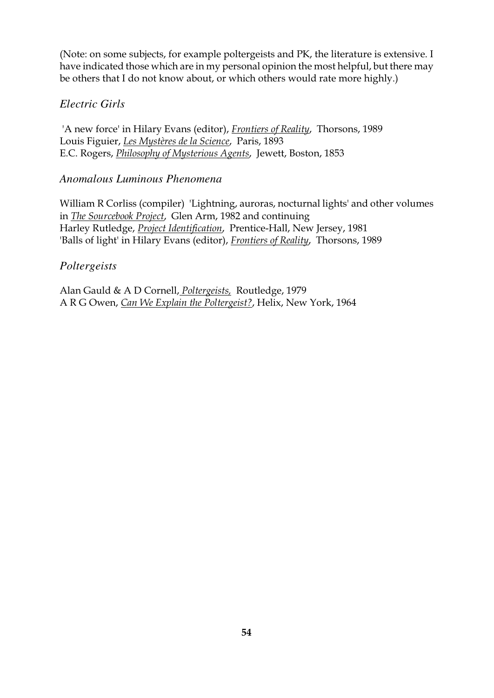(Note: on some subjects, for example poltergeists and PK, the literature is extensive. I have indicated those which are in my personal opinion the most helpful, but there may be others that I do not know about, or which others would rate more highly.)

#### *Electric Girls*

 'A new force' in Hilary Evans (editor), *Frontiers of Reality*, Thorsons, 1989 Louis Figuier, *Les Mystères de la Science*, Paris, 1893 E.C. Rogers, *Philosophy of Mysterious Agents*, Jewett, Boston, 1853

#### *Anomalous Luminous Phenomena*

William R Corliss (compiler) 'Lightning, auroras, nocturnal lights' and other volumes in *The Sourcebook Project*, Glen Arm, 1982 and continuing Harley Rutledge, *Project Identification*, Prentice-Hall, New Jersey, 1981 'Balls of light' in Hilary Evans (editor), *Frontiers of Reality*, Thorsons, 1989

#### *Poltergeists*

Alan Gauld & A D Cornell, *Poltergeists,* Routledge, 1979 A R G Owen, *Can We Explain the Poltergeist?*, Helix, New York, 1964